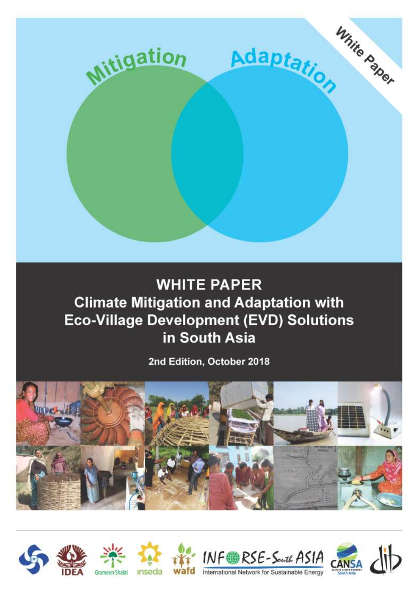

# **WHITE PAPER Climate Mitigation and Adaptation with Eco-Village Development (EVD) Solutions** in South Asia

2nd Edition, October 2018













International Network for Sustainable Energy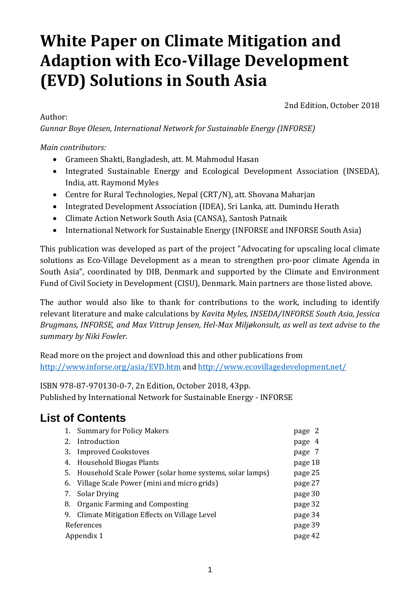# **White Paper on Climate Mitigation and Adaption with Eco-Village Development (EVD) Solutions in South Asia**

Author:

2nd Edition, October 2018

*Gunnar Boye Olesen, International Network for Sustainable Energy (INFORSE)*

*Main contributors:*

- Grameen Shakti, Bangladesh, att. M. Mahmodul Hasan
- Integrated Sustainable Energy and Ecological Development Association (INSEDA), India, att. Raymond Myles
- Centre for Rural Technologies, Nepal (CRT/N), att. Shovana Maharjan
- Integrated Development Association (IDEA), Sri Lanka, att. Dumindu Herath
- Climate Action Network South Asia (CANSA), Santosh Patnaik
- International Network for Sustainable Energy (INFORSE and INFORSE South Asia)

This publication was developed as part of the project "Advocating for upscaling local climate solutions as Eco-Village Development as a mean to strengthen pro-poor climate Agenda in South Asia", coordinated by DIB, Denmark and supported by the Climate and Environment Fund of Civil Society in Development (CISU), Denmark. Main partners are those listed above.

The author would also like to thank for contributions to the work, including to identify relevant literature and make calculations by *Kavita Myles, INSEDA/INFORSE South Asia, Jessica Brugmans, INFORSE, and Max Vittrup Jensen, Hel-Max Miljøkonsult, as well as text advise to the summary by Niki Fowler.*

Read more on the project and download this and other publications from <http://www.inforse.org/asia/EVD.htm> and<http://www.ecovillagedevelopment.net/>

ISBN 978-87-970130-0-7, 2n Edition, October 2018, 43pp. Published by International Network for Sustainable Energy - INFORSE

## **List of Contents**

|    | 1. Summary for Policy Makers                            | page 2  |
|----|---------------------------------------------------------|---------|
| 2. | Introduction                                            | page 4  |
| 3. | <b>Improved Cookstoves</b>                              | page 7  |
| 4. | Household Biogas Plants                                 | page 18 |
| 5. | Household Scale Power (solar home systems, solar lamps) | page 25 |
|    | 6. Village Scale Power (mini and micro grids)           | page 27 |
| 7. | <b>Solar Drying</b>                                     | page 30 |
| 8. | Organic Farming and Composting                          | page 32 |
|    | 9. Climate Mitigation Effects on Village Level          | page 34 |
|    | References                                              | page 39 |
|    | Appendix 1                                              | page 42 |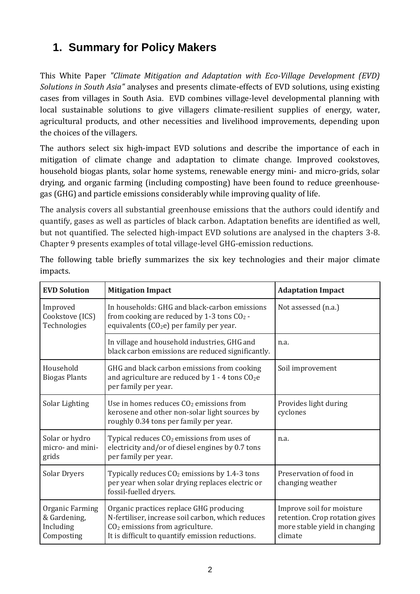# **1. Summary for Policy Makers**

This White Paper *"Climate Mitigation and Adaptation with Eco-Village Development (EVD) Solutions in South Asia"* analyses and presents climate-effects of EVD solutions, using existing cases from villages in South Asia. EVD combines village-level developmental planning with local sustainable solutions to give villagers climate-resilient supplies of energy, water, agricultural products, and other necessities and livelihood improvements, depending upon the choices of the villagers.

The authors select six high-impact EVD solutions and describe the importance of each in mitigation of climate change and adaptation to climate change. Improved cookstoves, household biogas plants, solar home systems, renewable energy mini- and micro-grids, solar drying, and organic farming (including composting) have been found to reduce greenhousegas (GHG) and particle emissions considerably while improving quality of life.

The analysis covers all substantial greenhouse emissions that the authors could identify and quantify, gases as well as particles of black carbon. Adaptation benefits are identified as well, but not quantified. The selected high-impact EVD solutions are analysed in the chapters 3-8. Chapter 9 presents examples of total village-level GHG-emission reductions.

| <b>EVD Solution</b>                                        | <b>Mitigation Impact</b>                                                                                                                                                              | <b>Adaptation Impact</b>                                                                                |
|------------------------------------------------------------|---------------------------------------------------------------------------------------------------------------------------------------------------------------------------------------|---------------------------------------------------------------------------------------------------------|
| Improved<br>Cookstove (ICS)<br>Technologies                | In households: GHG and black-carbon emissions<br>from cooking are reduced by 1-3 tons CO <sub>2</sub> -<br>equivalents (CO <sub>2</sub> e) per family per year.                       | Not assessed (n.a.)                                                                                     |
|                                                            | In village and household industries, GHG and<br>black carbon emissions are reduced significantly.                                                                                     | n.a.                                                                                                    |
| Household<br><b>Biogas Plants</b>                          | GHG and black carbon emissions from cooking<br>and agriculture are reduced by $1 - 4$ tons $CO2e$<br>per family per year.                                                             | Soil improvement                                                                                        |
| Solar Lighting                                             | Use in homes reduces $CO2$ emissions from<br>kerosene and other non-solar light sources by<br>roughly 0.34 tons per family per year.                                                  | Provides light during<br>cyclones                                                                       |
| Solar or hydro<br>micro- and mini-<br>grids                | Typical reduces $CO2$ emissions from uses of<br>electricity and/or of diesel engines by 0.7 tons<br>per family per year.                                                              | n.a.                                                                                                    |
| Solar Dryers                                               | Typically reduces $CO2$ emissions by 1.4-3 tons<br>per year when solar drying replaces electric or<br>fossil-fuelled dryers.                                                          | Preservation of food in<br>changing weather                                                             |
| Organic Farming<br>& Gardening,<br>Including<br>Composting | Organic practices replace GHG producing<br>N-fertiliser, increase soil carbon, which reduces<br>$CO2$ emissions from agriculture.<br>It is difficult to quantify emission reductions. | Improve soil for moisture<br>retention. Crop rotation gives<br>more stable yield in changing<br>climate |

The following table briefly summarizes the six key technologies and their major climate impacts.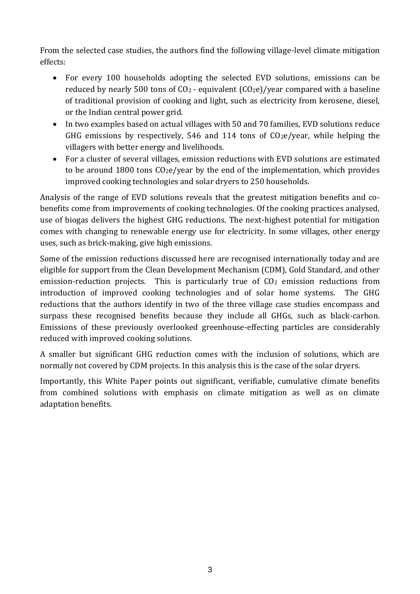From the selected case studies, the authors find the following village-level climate mitigation effects:

- For every 100 households adopting the selected EVD solutions, emissions can be reduced by nearly 500 tons of  $CO<sub>2</sub>$  - equivalent ( $CO<sub>2</sub>e$ )/year compared with a baseline of traditional provision of cooking and light, such as electricity from kerosene, diesel, or the Indian central power grid.
- In two examples based on actual villages with 50 and 70 families, EVD solutions reduce GHG emissions by respectively, 546 and 114 tons of CO2e/year, while helping the villagers with better energy and livelihoods.
- For a cluster of several villages, emission reductions with EVD solutions are estimated to be around 1800 tons  $C_2e$ /year by the end of the implementation, which provides improved cooking technologies and solar dryers to 250 households.

Analysis of the range of EVD solutions reveals that the greatest mitigation benefits and cobenefits come from improvements of cooking technologies. Of the cooking practices analysed, use of biogas delivers the highest GHG reductions. The next-highest potential for mitigation comes with changing to renewable energy use for electricity. In some villages, other energy uses, such as brick-making, give high emissions.

Some of the emission reductions discussed here are recognised internationally today and are eligible for support from the Clean Development Mechanism (CDM), Gold Standard, and other emission-reduction projects. This is particularly true of  $CO<sub>2</sub>$  emission reductions from introduction of improved cooking technologies and of solar home systems. The GHG reductions that the authors identify in two of the three village case studies encompass and surpass these recognised benefits because they include all GHGs, such as black-carbon. Emissions of these previously overlooked greenhouse-effecting particles are considerably reduced with improved cooking solutions.

A smaller but significant GHG reduction comes with the inclusion of solutions, which are normally not covered by CDM projects. In this analysis this is the case of the solar dryers.

Importantly, this White Paper points out significant, verifiable, cumulative climate benefits from combined solutions with emphasis on climate mitigation as well as on climate adaptation benefits.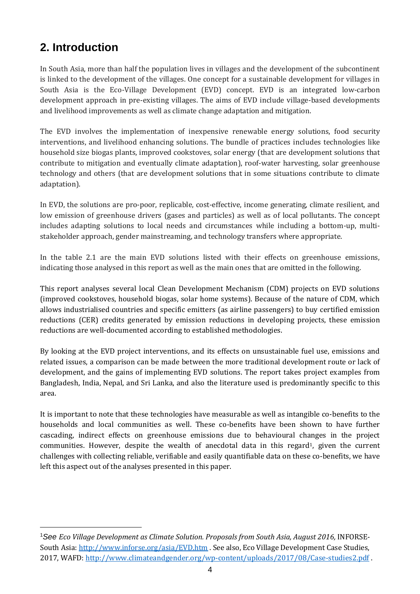## **2. Introduction**

In South Asia, more than half the population lives in villages and the development of the subcontinent is linked to the development of the villages. One concept for a sustainable development for villages in South Asia is the Eco-Village Development (EVD) concept. EVD is an integrated low-carbon development approach in pre-existing villages. The aims of EVD include village-based developments and livelihood improvements as well as climate change adaptation and mitigation.

The EVD involves the implementation of inexpensive renewable energy solutions, food security interventions, and livelihood enhancing solutions. The bundle of practices includes technologies like household size biogas plants, improved cookstoves, solar energy (that are development solutions that contribute to mitigation and eventually climate adaptation), roof-water harvesting, solar greenhouse technology and others (that are development solutions that in some situations contribute to climate adaptation).

In EVD, the solutions are pro-poor, replicable, cost-effective, income generating, climate resilient, and low emission of greenhouse drivers (gases and particles) as well as of local pollutants. The concept includes adapting solutions to local needs and circumstances while including a bottom-up, multistakeholder approach, gender mainstreaming, and technology transfers where appropriate.

In the table 2.1 are the main EVD solutions listed with their effects on greenhouse emissions, indicating those analysed in this report as well as the main ones that are omitted in the following.

This report analyses several local Clean Development Mechanism (CDM) projects on EVD solutions (improved cookstoves, household biogas, solar home systems). Because of the nature of CDM, which allows industrialised countries and specific emitters (as airline passengers) to buy certified emission reductions (CER) credits generated by emission reductions in developing projects, these emission reductions are well-documented according to established methodologies.

By looking at the EVD project interventions, and its effects on unsustainable fuel use, emissions and related issues, a comparison can be made between the more traditional development route or lack of development, and the gains of implementing EVD solutions. The report takes project examples from Bangladesh, India, Nepal, and Sri Lanka, and also the literature used is predominantly specific to this area.

It is important to note that these technologies have measurable as well as intangible co-benefits to the households and local communities as well. These co-benefits have been shown to have further cascading, indirect effects on greenhouse emissions due to behavioural changes in the project communities. However, despite the wealth of anecdotal data in this regard<sup>1</sup>, given the current challenges with collecting reliable, verifiable and easily quantifiable data on these co-benefits, we have left this aspect out of the analyses presented in this paper.

<sup>&</sup>lt;sup>1</sup>See *Eco Village Development as Climate Solution. Proposals from South Asia, August 2016, INFORSE-*South Asia:<http://www.inforse.org/asia/EVD.htm> . See also, Eco Village Development Case Studies, 2017, WAFD[: http://www.climateandgender.org/wp-content/uploads/2017/08/Case-studies2.pdf](http://www.climateandgender.org/wp-content/uploads/2017/08/Case-studies2.pdf) .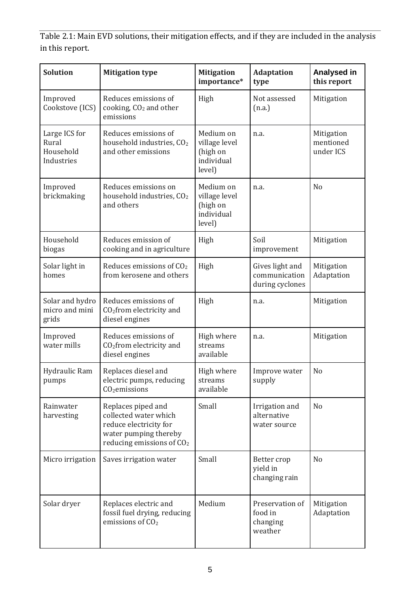Table 2.1: Main EVD solutions, their mitigation effects, and if they are included in the analysis in this report.

| <b>Solution</b>                                   | <b>Mitigation type</b>                                                                                                                  | <b>Mitigation</b><br>importance*                               | <b>Adaptation</b><br>type                           | <b>Analysed in</b><br>this report    |
|---------------------------------------------------|-----------------------------------------------------------------------------------------------------------------------------------------|----------------------------------------------------------------|-----------------------------------------------------|--------------------------------------|
| Improved<br>Cookstove (ICS)                       | Reduces emissions of<br>cooking, CO <sub>2</sub> and other<br>emissions                                                                 | High                                                           | Not assessed<br>(n.a.)                              | Mitigation                           |
| Large ICS for<br>Rural<br>Household<br>Industries | Reduces emissions of<br>household industries, CO <sub>2</sub><br>and other emissions                                                    | Medium on<br>village level<br>(high on<br>individual<br>level) | n.a.                                                | Mitigation<br>mentioned<br>under ICS |
| Improved<br>brickmaking                           | Reduces emissions on<br>household industries, CO <sub>2</sub><br>and others                                                             | Medium on<br>village level<br>(high on<br>individual<br>level) | n.a.                                                | N <sub>o</sub>                       |
| Household<br>biogas                               | Reduces emission of<br>cooking and in agriculture                                                                                       | High                                                           | Soil<br>improvement                                 | Mitigation                           |
| Solar light in<br>homes                           | Reduces emissions of CO <sub>2</sub><br>from kerosene and others                                                                        | High                                                           | Gives light and<br>communication<br>during cyclones | Mitigation<br>Adaptation             |
| Solar and hydro<br>micro and mini<br>grids        | Reduces emissions of<br>CO <sub>2</sub> from electricity and<br>diesel engines                                                          | High                                                           | n.a.                                                | Mitigation                           |
| Improved<br>water mills                           | Reduces emissions of<br>CO <sub>2</sub> from electricity and<br>diesel engines                                                          | High where<br>streams<br>available                             | n.a.                                                | Mitigation                           |
| Hydraulic Ram<br>pumps                            | Replaces diesel and<br>electric pumps, reducing<br>$CO2$ emissions                                                                      | High where<br>streams<br>available                             | Improve water<br>supply                             | N <sub>o</sub>                       |
| Rainwater<br>harvesting                           | Replaces piped and<br>collected water which<br>reduce electricity for<br>water pumping thereby<br>reducing emissions of CO <sub>2</sub> | Small                                                          | Irrigation and<br>alternative<br>water source       | N <sub>o</sub>                       |
| Micro irrigation                                  | Saves irrigation water                                                                                                                  | Small                                                          | Better crop<br>yield in<br>changing rain            | N <sub>o</sub>                       |
| Solar dryer                                       | Replaces electric and<br>fossil fuel drying, reducing<br>emissions of $CO2$                                                             | Medium                                                         | Preservation of<br>food in<br>changing<br>weather   | Mitigation<br>Adaptation             |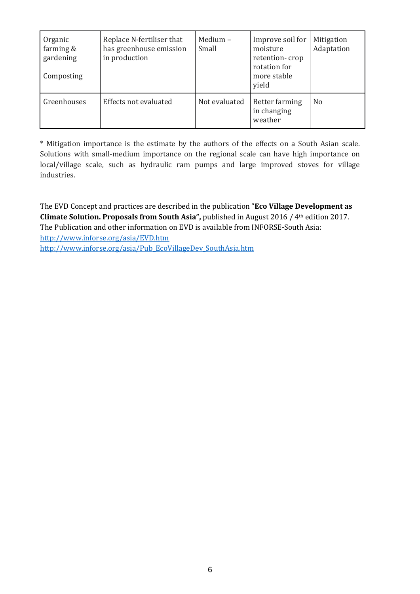| Organic<br>farming $&$<br>gardening<br>Composting | Replace N-fertiliser that<br>has greenhouse emission<br>in production | Medium $-$<br>Small | Improve soil for<br>moisture<br>retention-crop<br>rotation for<br>more stable<br>yield | Mitigation<br>Adaptation |
|---------------------------------------------------|-----------------------------------------------------------------------|---------------------|----------------------------------------------------------------------------------------|--------------------------|
| Greenhouses                                       | Effects not evaluated                                                 | Not evaluated       | Better farming<br>in changing<br>weather                                               | N <sub>0</sub>           |

\* Mitigation importance is the estimate by the authors of the effects on a South Asian scale. Solutions with small-medium importance on the regional scale can have high importance on local/village scale, such as hydraulic ram pumps and large improved stoves for village industries.

The EVD Concept and practices are described in the publication "**Eco Village Development as Climate Solution. Proposals from South Asia", published in August 2016 / 4th edition 2017.** The Publication and other information on EVD is available from INFORSE-South Asia: <http://www.inforse.org/asia/EVD.htm> [http://www.inforse.org/asia/Pub\\_EcoVillageDev\\_SouthAsia.htm](http://www.inforse.org/asia/Pub_EcoVillageDev_SouthAsia.htm)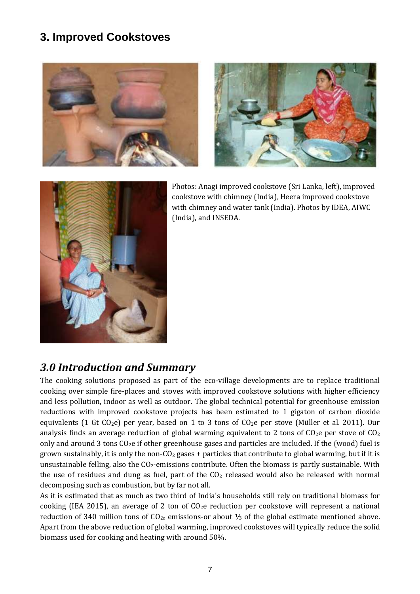### **3. Improved Cookstoves**







Photos: Anagi improved cookstove (Sri Lanka, left), improved cookstove with chimney (India), Heera improved cookstove with chimney and water tank (India). Photos by IDEA, AIWC (India), and INSEDA.

### *3.0 Introduction and Summary*

The cooking solutions proposed as part of the eco-village developments are to replace traditional cooking over simple fire-places and stoves with improved cookstove solutions with higher efficiency and less pollution, indoor as well as outdoor. The global technical potential for greenhouse emission reductions with improved cookstove projects has been estimated to 1 gigaton of carbon dioxide equivalents (1 Gt CO<sub>2</sub>e) per year, based on 1 to 3 tons of CO<sub>2</sub>e per stove (Müller et al. 2011). Our analysis finds an average reduction of global warming equivalent to 2 tons of  $CO<sub>2</sub>$ e per stove of  $CO<sub>2</sub>$ only and around 3 tons  $CO<sub>2</sub>e$  if other greenhouse gases and particles are included. If the (wood) fuel is grown sustainably, it is only the non- $C_2$  gases + particles that contribute to global warming, but if it is unsustainable felling, also the  $CO<sub>2</sub>$ -emissions contribute. Often the biomass is partly sustainable. With the use of residues and dung as fuel, part of the  $CO<sub>2</sub>$  released would also be released with normal decomposing such as combustion, but by far not all.

As it is estimated that as much as two third of India's households still rely on traditional biomass for cooking (IEA 2015), an average of 2 ton of  $CO<sub>2</sub>e$  reduction per cookstove will represent a national reduction of 340 million tons of  $CO<sub>2e</sub>$  emissions-or about ⅓ of the global estimate mentioned above. Apart from the above reduction of global warming, improved cookstoves will typically reduce the solid biomass used for cooking and heating with around 50%.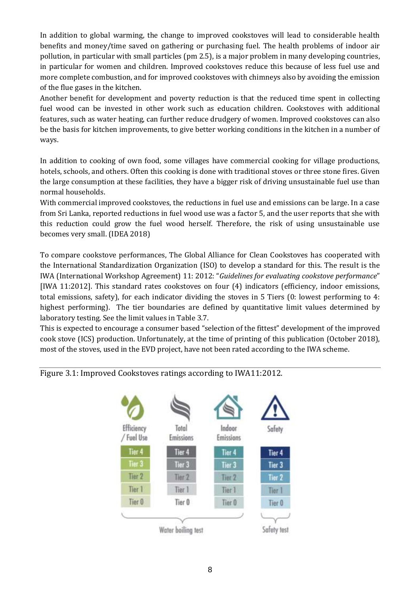In addition to global warming, the change to improved cookstoves will lead to considerable health benefits and money/time saved on gathering or purchasing fuel. The health problems of indoor air pollution, in particular with small particles (pm 2.5), is a major problem in many developing countries, in particular for women and children. Improved cookstoves reduce this because of less fuel use and more complete combustion, and for improved cookstoves with chimneys also by avoiding the emission of the flue gases in the kitchen.

Another benefit for development and poverty reduction is that the reduced time spent in collecting fuel wood can be invested in other work such as education children. Cookstoves with additional features, such as water heating, can further reduce drudgery of women. Improved cookstoves can also be the basis for kitchen improvements, to give better working conditions in the kitchen in a number of ways.

In addition to cooking of own food, some villages have commercial cooking for village productions, hotels, schools, and others. Often this cooking is done with traditional stoves or three stone fires. Given the large consumption at these facilities, they have a bigger risk of driving unsustainable fuel use than normal households.

With commercial improved cookstoves, the reductions in fuel use and emissions can be large. In a case from Sri Lanka, reported reductions in fuel wood use was a factor 5, and the user reports that she with this reduction could grow the fuel wood herself. Therefore, the risk of using unsustainable use becomes very small. (IDEA 2018)

To compare cookstove performances, The Global Alliance for Clean Cookstoves has cooperated with the International Standardization Organization (ISO) to develop a standard for this. The result is the IWA (International Workshop Agreement) 11: 2012: "*Guidelines for evaluating cookstove performance*" [IWA 11:2012]. This standard rates cookstoves on four (4) indicators (efficiency, indoor emissions, total emissions, safety), for each indicator dividing the stoves in 5 Tiers (0: lowest performing to 4: highest performing). The tier boundaries are defined by quantitative limit values determined by laboratory testing. See the limit values in Table 3.7.

This is expected to encourage a consumer based "selection of the fittest" development of the improved cook stove (ICS) production. Unfortunately, at the time of printing of this publication (October 2018), most of the stoves, used in the EVD project, have not been rated according to the IWA scheme.



Figure 3.1: Improved Cookstoves ratings according to IWA11:2012.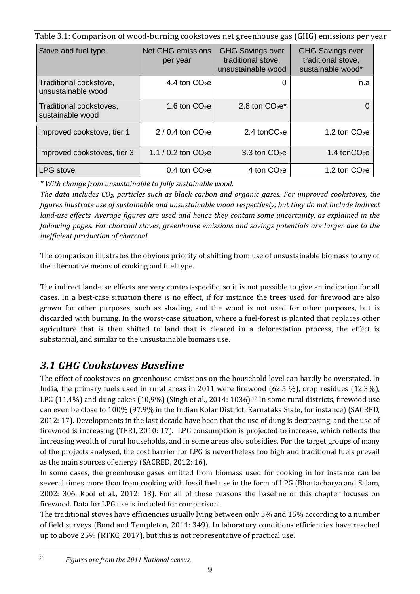Table 3.1: Comparison of wood-burning cookstoves net greenhouse gas (GHG) emissions per year

| Stove and fuel type                          | <b>Net GHG emissions</b><br>per year | <b>GHG Savings over</b><br>traditional stove,<br>unsustainable wood | <b>GHG Savings over</b><br>traditional stove,<br>sustainable wood* |
|----------------------------------------------|--------------------------------------|---------------------------------------------------------------------|--------------------------------------------------------------------|
| Traditional cookstove,<br>unsustainable wood | 4.4 ton $CO2e$                       |                                                                     | n.a                                                                |
| Traditional cookstoves,<br>sustainable wood  | 1.6 ton $CO2e$                       | 2.8 ton $CO2e*$                                                     |                                                                    |
| Improved cookstove, tier 1                   | $2/0.4$ ton $CO2e$                   | 2.4 ton $CO2e$                                                      | 1.2 ton $CO2e$                                                     |
| Improved cookstoves, tier 3                  | 1.1 / 0.2 ton $CO2e$                 | 3.3 ton $CO2e$                                                      | 1.4 ton $CO2e$                                                     |
| LPG stove                                    | 0.4 ton $CO2e$                       | 4 ton $CO2e$                                                        | 1.2 ton $CO2e$                                                     |

*\* With change from unsustainable to fully sustainable wood.*

*The data includes CO2, particles such as black carbon and organic gases. For improved cookstoves, the figures illustrate use of sustainable and unsustainable wood respectively, but they do not include indirect land-use effects. Average figures are used and hence they contain some uncertainty, as explained in the following pages. For charcoal stoves, greenhouse emissions and savings potentials are larger due to the inefficient production of charcoal.*

The comparison illustrates the obvious priority of shifting from use of unsustainable biomass to any of the alternative means of cooking and fuel type.

The indirect land-use effects are very context-specific, so it is not possible to give an indication for all cases. In a best-case situation there is no effect, if for instance the trees used for firewood are also grown for other purposes, such as shading, and the wood is not used for other purposes, but is discarded with burning. In the worst-case situation, where a fuel-forest is planted that replaces other agriculture that is then shifted to land that is cleared in a deforestation process, the effect is substantial, and similar to the unsustainable biomass use.

# *3.1 GHG Cookstoves Baseline*

The effect of cookstoves on greenhouse emissions on the household level can hardly be overstated. In India, the primary fuels used in rural areas in 2011 were firewood (62,5 %), crop residues (12,3%), LPG (11,4%) and dung cakes (10,9%) (Singh et al., 2014: 1036).<sup>12</sup> In some rural districts, firewood use can even be close to 100% (97.9% in the Indian Kolar District, Karnataka State, for instance) (SACRED, 2012: 17). Developments in the last decade have been that the use of dung is decreasing, and the use of firewood is increasing (TERI, 2010: 17). LPG consumption is projected to increase, which reflects the increasing wealth of rural households, and in some areas also subsidies. For the target groups of many of the projects analysed, the cost barrier for LPG is nevertheless too high and traditional fuels prevail as the main sources of energy (SACRED, 2012: 16).

In some cases, the greenhouse gases emitted from biomass used for cooking in for instance can be several times more than from cooking with fossil fuel use in the form of LPG (Bhattacharya and Salam, 2002: 306, Kool et al., 2012: 13). For all of these reasons the baseline of this chapter focuses on firewood. Data for LPG use is included for comparison.

The traditional stoves have efficiencies usually lying between only 5% and 15% according to a number of field surveys (Bond and Templeton, 2011: 349). In laboratory conditions efficiencies have reached up to above 25% (RTKC, 2017), but this is not representative of practical use.

2 *Figures are from the 2011 National census.*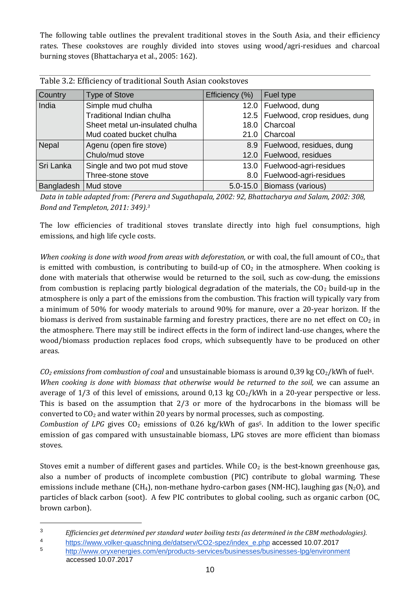The following table outlines the prevalent traditional stoves in the South Asia, and their efficiency rates. These cookstoves are roughly divided into stoves using wood/agri-residues and charcoal burning stoves (Bhattacharya et al., 2005: 162).

| Table 5.2. Emelency of traditional bouth ristan cookstoves |                                 |                  |                                |  |
|------------------------------------------------------------|---------------------------------|------------------|--------------------------------|--|
| Country                                                    | <b>Type of Stove</b>            | Efficiency (%)   | Fuel type                      |  |
| India<br>Simple mud chulha                                 |                                 | 12.0             | Fuelwood, dung                 |  |
|                                                            | Traditional Indian chulha       | 12.5             | Fuelwood, crop residues, dung  |  |
|                                                            | Sheet metal un-insulated chulha | 18.0 l           | Charcoal                       |  |
|                                                            | Mud coated bucket chulha        | 21.0             | Charcoal                       |  |
| Nepal                                                      | Agenu (open fire stove)         |                  | 8.9   Fuelwood, residues, dung |  |
|                                                            | Chulo/mud stove                 | $12.0$           | Fuelwood, residues             |  |
| Sri Lanka                                                  | Single and two pot mud stove    | $13.0$           | Fuelwood-agri-residues         |  |
|                                                            | Three-stone stove               | 8.0 <sub>1</sub> | Fuelwood-agri-residues         |  |
| Bangladesh   Mud stove                                     |                                 |                  | 5.0-15.0   Biomass (various)   |  |

Table 3.2: Efficiency of traditional South Asian cookstoves

*Data in table adapted from: (Perera and Sugathapala, 2002: 92, Bhattacharya and Salam, 2002: 308, Bond and Templeton, 2011: 349).<sup>3</sup>*

The low efficiencies of traditional stoves translate directly into high fuel consumptions, high emissions, and high life cycle costs.

*When cooking is done with wood from areas with deforestation, or with coal, the full amount of CO<sub>2</sub>, that* is emitted with combustion, is contributing to build-up of  $CO<sub>2</sub>$  in the atmosphere. When cooking is done with materials that otherwise would be returned to the soil, such as cow-dung, the emissions from combustion is replacing partly biological degradation of the materials, the  $CO<sub>2</sub>$  build-up in the atmosphere is only a part of the emissions from the combustion. This fraction will typically vary from a minimum of 50% for woody materials to around 90% for manure, over a 20-year horizon. If the biomass is derived from sustainable farming and forestry practices, there are no net effect on  $CO<sub>2</sub>$  in the atmosphere. There may still be indirect effects in the form of indirect land-use changes, where the wood/biomass production replaces food crops, which subsequently have to be produced on other areas.

 $C_2$  *emissions from combustion of coal* and unsustainable biomass is around 0,39 kg  $C_2$ /kWh of fuel<sup>4</sup>.

*When cooking is done with biomass that otherwise would be returned to the soil, we can assume an* average of  $1/3$  of this level of emissions, around  $0.13 \text{ kg } CO_2/\text{kWh}$  in a 20-year perspective or less. This is based on the assumption that 2/3 or more of the hydrocarbons in the biomass will be converted to  $CO<sub>2</sub>$  and water within 20 years by normal processes, such as composting.

*Combustion of LPG* gives  $CO<sub>2</sub>$  emissions of 0.26 kg/kWh of gas<sup>5</sup>. In addition to the lower specific emission of gas compared with unsustainable biomass, LPG stoves are more efficient than biomass stoves.

Stoves emit a number of different gases and particles. While  $CO<sub>2</sub>$  is the best-known greenhouse gas, also a number of products of incomplete combustion (PIC) contribute to global warming. These emissions include methane (CH<sub>4</sub>), non-methane hydro-carbon gases (NM-HC), laughing gas (N<sub>2</sub>O), and particles of black carbon (soot). A few PIC contributes to global cooling, such as organic carbon (OC, brown carbon).

 $\overline{a}$ 

<sup>3</sup> *Efficiencies get determined per standard water boiling tests (as determined in the CBM methodologies).*

<sup>4</sup> [https://www.volker-quaschning.de/datserv/CO2-spez/index\\_e.php](https://www.volker-quaschning.de/datserv/CO2-spez/index_e.php) accessed 10.07.2017

<sup>5</sup> <http://www.oryxenergies.com/en/products-services/businesses/businesses-lpg/environment> accessed 10.07.2017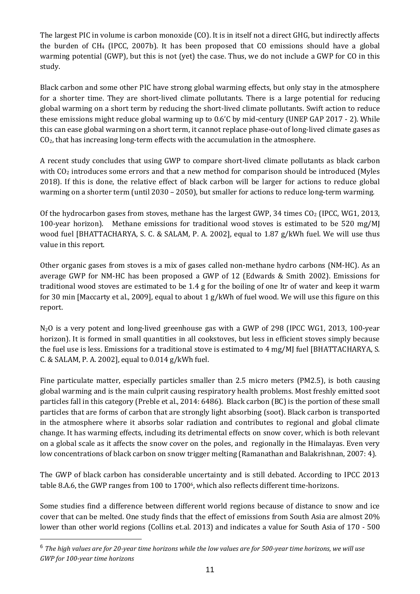The largest PIC in volume is carbon monoxide (CO). It is in itself not a direct GHG, but indirectly affects the burden of  $CH_4$  (IPCC, 2007b). It has been proposed that CO emissions should have a global warming potential (GWP), but this is not (yet) the case. Thus, we do not include a GWP for CO in this study.

Black carbon and some other PIC have strong global warming effects, but only stay in the atmosphere for a shorter time. They are short-lived climate pollutants. There is a large potential for reducing global warming on a short term by reducing the short-lived climate pollutants. Swift action to reduce these emissions might reduce global warming up to 0.6'C by mid-century (UNEP GAP 2017 - 2). While this can ease global warming on a short term, it cannot replace phase-out of long-lived climate gases as CO2, that has increasing long-term effects with the accumulation in the atmosphere.

A recent study concludes that using GWP to compare short-lived climate pollutants as black carbon with  $CO<sub>2</sub>$  introduces some errors and that a new method for comparison should be introduced (Myles 2018). If this is done, the relative effect of black carbon will be larger for actions to reduce global warming on a shorter term (until 2030 – 2050), but smaller for actions to reduce long-term warming.

Of the hydrocarbon gases from stoves, methane has the largest GWP, 34 times  $CO<sub>2</sub>$  (IPCC, WG1, 2013, 100-year horizon). Methane emissions for traditional wood stoves is estimated to be 520 mg/MJ wood fuel [BHATTACHARYA, S. C. & SALAM, P. A. 2002], equal to 1.87 g/kWh fuel. We will use thus value in this report.

Other organic gases from stoves is a mix of gases called non-methane hydro carbons (NM-HC). As an average GWP for NM-HC has been proposed a GWP of 12 (Edwards & Smith 2002). Emissions for traditional wood stoves are estimated to be 1.4 g for the boiling of one ltr of water and keep it warm for 30 min [Maccarty et al., 2009], equal to about 1 g/kWh of fuel wood. We will use this figure on this report.

N<sub>2</sub>O is a very potent and long-lived greenhouse gas with a GWP of 298 (IPCC WG1, 2013, 100-year horizon). It is formed in small quantities in all cookstoves, but less in efficient stoves simply because the fuel use is less. Emissions for a traditional stove is estimated to 4 mg/MJ fuel [BHATTACHARYA, S. C. & SALAM, P. A. 2002], equal to 0.014 g/kWh fuel.

Fine particulate matter, especially particles smaller than 2.5 micro meters (PM2.5), is both causing global warming and is the main culprit causing respiratory health problems. Most freshly emitted soot particles fall in this category (Preble et al., 2014: 6486). Black carbon (BC) is the portion of these small particles that are forms of carbon that are strongly light absorbing (soot). Black carbon is transported in the atmosphere where it absorbs solar radiation and contributes to regional and global climate change. It has warming effects, including its detrimental effects on snow cover, which is both relevant on a global scale as it affects the snow cover on the poles, and regionally in the Himalayas. Even very low concentrations of black carbon on snow trigger melting (Ramanathan and Balakrishnan, 2007: 4).

The GWP of black carbon has considerable uncertainty and is still debated. According to IPCC 2013 table 8.A.6, the GWP ranges from 100 to 1700 $^6$ , which also reflects different time-horizons.

Some studies find a difference between different world regions because of distance to snow and ice cover that can be melted. One study finds that the effect of emissions from South Asia are almost 20% lower than other world regions (Collins et.al. 2013) and indicates a value for South Asia of 170 - 500

 $\overline{a}$ 

<sup>6</sup> *The high values are for 20-year time horizons while the low values are for 500-year time horizons, we will use GWP for 100-year time horizons*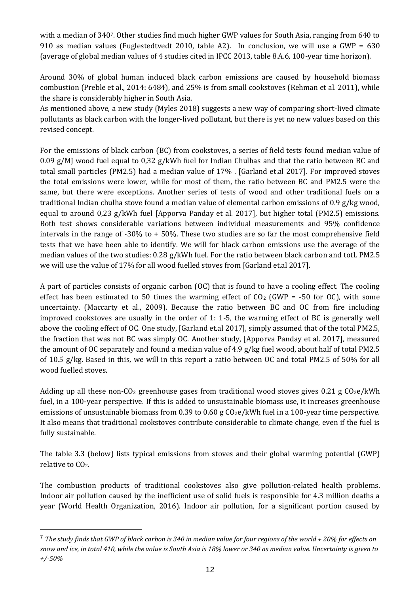with a median of 3407. Other studies find much higher GWP values for South Asia, ranging from 640 to 910 as median values (Fuglestedtvedt 2010, table A2). In conclusion, we will use a GWP = 630 (average of global median values of 4 studies cited in IPCC 2013, table 8.A.6, 100-year time horizon).

Around 30% of global human induced black carbon emissions are caused by household biomass combustion (Preble et al., 2014: 6484), and 25% is from small cookstoves (Rehman et al. 2011), while the share is considerably higher in South Asia.

As mentioned above, a new study (Myles 2018) suggests a new way of comparing short-lived climate pollutants as black carbon with the longer-lived pollutant, but there is yet no new values based on this revised concept.

For the emissions of black carbon (BC) from cookstoves, a series of field tests found median value of 0.09 g/MJ wood fuel equal to 0,32 g/kWh fuel for Indian Chulhas and that the ratio between BC and total small particles (PM2.5) had a median value of 17% . [Garland et.al 2017]. For improved stoves the total emissions were lower, while for most of them, the ratio between BC and PM2.5 were the same, but there were exceptions. Another series of tests of wood and other traditional fuels on a traditional Indian chulha stove found a median value of elemental carbon emissions of 0.9 g/kg wood, equal to around 0,23 g/kWh fuel [Apporva Panday et al. 2017], but higher total (PM2.5) emissions. Both test shows considerable variations between individual measurements and 95% confidence intervals in the range of -30% to + 50%. These two studies are so far the most comprehensive field tests that we have been able to identify. We will for black carbon emissions use the average of the median values of the two studies: 0.28 g/kWh fuel. For the ratio between black carbon and totL PM2.5 we will use the value of 17% for all wood fuelled stoves from [Garland et.al 2017].

A part of particles consists of organic carbon (OC) that is found to have a cooling effect. The cooling effect has been estimated to 50 times the warming effect of  $CO<sub>2</sub>$  (GWP = -50 for OC), with some uncertainty. (Maccarty et al., 2009). Because the ratio between BC and OC from fire including improved cookstoves are usually in the order of 1: 1-5, the warming effect of BC is generally well above the cooling effect of OC. One study, [Garland et.al 2017], simply assumed that of the total PM2.5, the fraction that was not BC was simply OC. Another study, [Apporva Panday et al. 2017], measured the amount of OC separately and found a median value of 4.9 g/kg fuel wood, about half of total PM2.5 of 10.5 g/kg. Based in this, we will in this report a ratio between OC and total PM2.5 of 50% for all wood fuelled stoves.

Adding up all these non-CO<sub>2</sub> greenhouse gases from traditional wood stoves gives 0.21 g CO<sub>2</sub>e/kWh fuel, in a 100-year perspective. If this is added to unsustainable biomass use, it increases greenhouse emissions of unsustainable biomass from  $0.39$  to  $0.60$  g  $CO<sub>2</sub>e/kWh$  fuel in a 100-year time perspective. It also means that traditional cookstoves contribute considerable to climate change, even if the fuel is fully sustainable.

The table 3.3 (below) lists typical emissions from stoves and their global warming potential (GWP) relative to CO<sub>2</sub>.

The combustion products of traditional cookstoves also give pollution-related health problems. Indoor air pollution caused by the inefficient use of solid fuels is responsible for 4.3 million deaths a year (World Health Organization, 2016). Indoor air pollution, for a significant portion caused by

<sup>7</sup> *The study finds that GWP of black carbon is 340 in median value for four regions of the world + 20% for effects on snow and ice, in total 410, while the value is South Asia is 18% lower or 340 as median value. Uncertainty is given to +/-50%*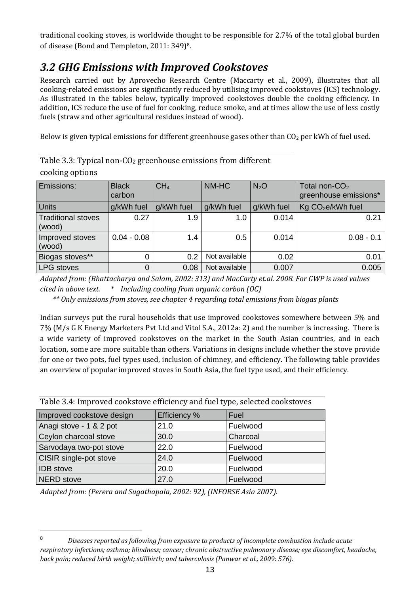traditional cooking stoves, is worldwide thought to be responsible for 2.7% of the total global burden of disease (Bond and Templeton, 2011: 349)8.

### *3.2 GHG Emissions with Improved Cookstoves*

Research carried out by Aprovecho Research Centre (Maccarty et al., 2009), illustrates that all cooking-related emissions are significantly reduced by utilising improved cookstoves (ICS) technology. As illustrated in the tables below, typically improved cookstoves double the cooking efficiency. In addition, ICS reduce the use of fuel for cooking, reduce smoke, and at times allow the use of less costly fuels (straw and other agricultural residues instead of wood).

Below is given typical emissions for different greenhouse gases other than  $CO<sub>2</sub>$  per kWh of fuel used.

| Table 3.3: Typical non-CO <sub>2</sub> greenhouse emissions from different |  |
|----------------------------------------------------------------------------|--|
| cooking options                                                            |  |

| Emissions:                          | <b>Black</b><br>carbon | CH <sub>4</sub> | NM-HC         | N <sub>2</sub> O | Total non-CO <sub>2</sub><br>greenhouse emissions* |
|-------------------------------------|------------------------|-----------------|---------------|------------------|----------------------------------------------------|
| <b>Units</b>                        | g/kWh fuel             | g/kWh fuel      | g/kWh fuel    | g/kWh fuel       | Kg CO <sub>2</sub> e/kWh fuel                      |
| <b>Traditional stoves</b><br>(wood) | 0.27                   | 1.9             | 1.0           | 0.014            | 0.21                                               |
| Improved stoves<br>(wood)           | $0.04 - 0.08$          | 1.4             | 0.5           | 0.014            | $0.08 - 0.1$                                       |
| Biogas stoves**                     | 0                      | 0.2             | Not available | 0.02             | 0.01                                               |
| <b>LPG</b> stoves                   | 0                      | 0.08            | Not available | 0.007            | 0.005                                              |

*Adapted from: (Bhattacharya and Salam, 2002: 313) and MacCarty et.al. 2008. For GWP is used values cited in above text. \* Including cooling from organic carbon (OC)*

*\*\* Only emissions from stoves, see chapter 4 regarding total emissions from biogas plants*

Indian surveys put the rural households that use improved cookstoves somewhere between 5% and 7% (M/s G K Energy Marketers Pvt Ltd and Vitol S.A., 2012a: 2) and the number is increasing. There is a wide variety of improved cookstoves on the market in the South Asian countries, and in each location, some are more suitable than others. Variations in designs include whether the stove provide for one or two pots, fuel types used, inclusion of chimney, and efficiency. The following table provides an overview of popular improved stoves in South Asia, the fuel type used, and their efficiency.

| I able 5.4. Hilpi oved cookstove emittelity and fuel type, selected cookstoves |                     |          |  |
|--------------------------------------------------------------------------------|---------------------|----------|--|
| Improved cookstove design                                                      | <b>Efficiency %</b> | Fuel     |  |
| Anagi stove - 1 & 2 pot                                                        | 21.0                | Fuelwood |  |
| Ceylon charcoal stove                                                          | 30.0                | Charcoal |  |
| Sarvodaya two-pot stove                                                        | 22.0                | Fuelwood |  |
| CISIR single-pot stove                                                         | 24.0                | Fuelwood |  |
| <b>IDB</b> stove                                                               | 20.0                | Fuelwood |  |
| <b>NERD</b> stove                                                              | 27.0                | Fuelwood |  |

Table 3.4: Improved cookstove efficiency and fuel type, selected cookstoves

*Adapted from: (Perera and Sugathapala, 2002: 92), (INFORSE Asia 2007).*

<sup>8</sup> *Diseases reported as following from exposure to products of incomplete combustion include acute respiratory infections; asthma; blindness; cancer; chronic obstructive pulmonary disease; eye discomfort, headache, back pain; reduced birth weight; stillbirth; and tuberculosis (Panwar et al., 2009: 576).*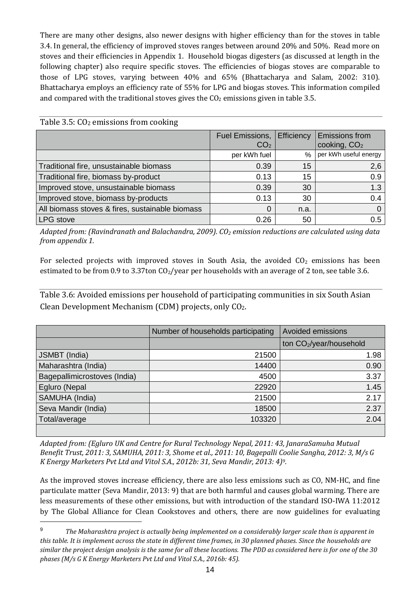There are many other designs, also newer designs with higher efficiency than for the stoves in table 3.4. In general, the efficiency of improved stoves ranges between around 20% and 50%. Read more on stoves and their efficiencies in Appendix 1. Household biogas digesters (as discussed at length in the following chapter) also require specific stoves. The efficiencies of biogas stoves are comparable to those of LPG stoves, varying between 40% and 65% (Bhattacharya and Salam, 2002: 310). Bhattacharya employs an efficiency rate of 55% for LPG and biogas stoves. This information compiled and compared with the traditional stoves gives the  $CO<sub>2</sub>$  emissions given in table 3.5.

|                                                 | Fuel Emissions,<br>CO <sub>2</sub> | Efficiency | <b>Emissions from</b><br>cooking, $CO2$ |
|-------------------------------------------------|------------------------------------|------------|-----------------------------------------|
|                                                 | per kWh fuel                       | %          | per kWh useful energy                   |
| Traditional fire, unsustainable biomass         | 0.39                               | 15         | 2,6                                     |
| Traditional fire, biomass by-product            | 0.13                               | 15         | 0.9                                     |
| Improved stove, unsustainable biomass           | 0.39                               | 30         | 1.3                                     |
| Improved stove, biomass by-products             | 0.13                               | 30         | 0.4                                     |
| All biomass stoves & fires, sustainable biomass | 0                                  | n.a.       | 0                                       |
| LPG stove                                       | 0.26                               | 50         | 0.5                                     |

Table  $3.5: CO<sub>2</sub>$  emissions from cooking

 $\overline{a}$ 

*Adapted from: (Ravindranath and Balachandra, 2009). CO<sup>2</sup> emission reductions are calculated using data from appendix 1.*

For selected projects with improved stoves in South Asia, the avoided  $CO<sub>2</sub>$  emissions has been estimated to be from 0.9 to 3.37ton  $CO_2$ /year per households with an average of 2 ton, see table 3.6.

Table 3.6: Avoided emissions per household of participating communities in six South Asian Clean Development Mechanism (CDM) projects, only CO2.

|                              | Number of households participating | Avoided emissions                   |
|------------------------------|------------------------------------|-------------------------------------|
|                              |                                    | ton CO <sub>2</sub> /year/household |
| JSMBT (India)                | 21500                              | 1.98                                |
| Maharashtra (India)          | 14400                              | 0.90                                |
| Bagepallimicrostoves (India) | 4500                               | 3.37                                |
| Egluro (Nepal                | 22920                              | 1.45                                |
| SAMUHA (India)               | 21500                              | 2.17                                |
| Seva Mandir (India)          | 18500                              | 2.37                                |
| Total/average                | 103320                             | 2.04                                |
|                              |                                    |                                     |

*Adapted from: (Egluro UK and Centre for Rural Technology Nepal, 2011: 43, JanaraSamuha Mutual Benefit Trust, 2011: 3, SAMUHA, 2011: 3, Shome et al., 2011: 10, Bagepalli Coolie Sangha, 2012: 3, M/s G K Energy Marketers Pvt Ltd and Vitol S.A., 2012b: 31, Seva Mandir, 2013: 4)9.*

As the improved stoves increase efficiency, there are also less emissions such as CO, NM-HC, and fine particulate matter (Seva Mandir, 2013: 9) that are both harmful and causes global warming. There are less measurements of these other emissions, but with introduction of the standard ISO-IWA 11:2012 by The Global Alliance for Clean Cookstoves and others, there are now guidelines for evaluating

<sup>9</sup> *The Maharashtra project is actually being implemented on a considerably larger scale than is apparent in this table. It is implement across the state in different time frames, in 30 planned phases. Since the households are similar the project design analysis is the same for all these locations. The PDD as considered here is for one of the 30 phases (M/s G K Energy Marketers Pvt Ltd and Vitol S.A., 2016b: 45).*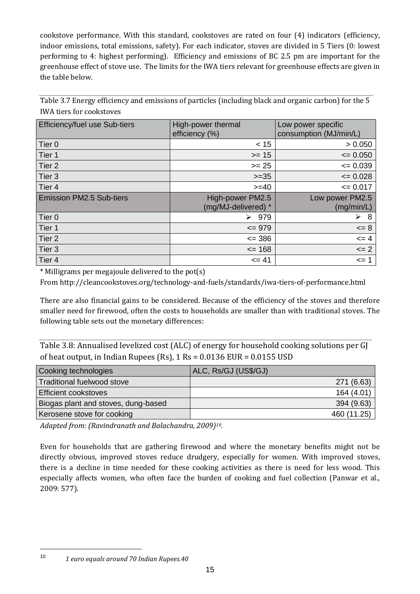cookstove performance. With this standard, cookstoves are rated on four (4) indicators (efficiency, indoor emissions, total emissions, safety). For each indicator, stoves are divided in 5 Tiers (0: lowest performing to 4: highest performing). Efficiency and emissions of BC 2.5 pm are important for the greenhouse effect of stove use. The limits for the IWA tiers relevant for greenhouse effects are given in the table below.

Table 3.7 Energy efficiency and emissions of particles (including black and organic carbon) for the 5 IWA tiers for cookstoves

| <b>Efficiency/fuel use Sub-tiers</b> | High-power thermal<br>efficiency (%)    | Low power specific<br>consumption (MJ/min/L) |
|--------------------------------------|-----------------------------------------|----------------------------------------------|
| Tier <sub>0</sub>                    | < 15                                    | > 0.050                                      |
| Tier 1                               | $>= 15$                                 | $= 0.050$                                    |
| Tier <sub>2</sub>                    | $>= 25$                                 | $= 0.039$                                    |
| Tier 3                               | $>=35$                                  | $= 0.028$                                    |
| Tier 4                               | $>= 40$                                 | $= 0.017$                                    |
| <b>Emission PM2.5 Sub-tiers</b>      | High-power PM2.5<br>(mg/MJ-delivered) * | Low power PM2.5<br>(mg/min/L)                |
| Tier <sub>0</sub>                    | 979<br>➤                                | 8<br>➤                                       |
| Tier 1                               |                                         |                                              |
|                                      | $\leq$ 979                              | $= 8$                                        |
| Tier <sub>2</sub>                    | $\leq$ 386                              | $\leq$ 4                                     |
| Tier 3                               | $= 168$                                 | $\leq$ 2                                     |

\* Milligrams per megajoule delivered to the pot(s)

From http://cleancookstoves.org/technology-and-fuels/standards/iwa-tiers-of-performance.html

There are also financial gains to be considered. Because of the efficiency of the stoves and therefore smaller need for firewood, often the costs to households are smaller than with traditional stoves. The following table sets out the monetary differences:

Table 3.8: Annualised levelized cost (ALC) of energy for household cooking solutions per GJ of heat output, in Indian Rupees (Rs),  $1 \text{ Rs} = 0.0136 \text{ EUR} = 0.0155 \text{ USD}$ 

| Cooking technologies                | ALC, Rs/GJ (US\$/GJ) |
|-------------------------------------|----------------------|
| Traditional fuelwood stove          | 271 (6.63)           |
| <b>Efficient cookstoves</b>         | 164 (4.01)           |
| Biogas plant and stoves, dung-based | 394 (9.63)           |
| Kerosene stove for cooking          | 460 (11.25)          |

*Adapted from: (Ravindranath and Balachandra, 2009)10.*

Even for households that are gathering firewood and where the monetary benefits might not be directly obvious, improved stoves reduce drudgery, especially for women. With improved stoves, there is a decline in time needed for these cooking activities as there is need for less wood. This especially affects women, who often face the burden of cooking and fuel collection (Panwar et al., 2009: 577).

<sup>10</sup> *1 euro equals around 70 Indian Rupees.40*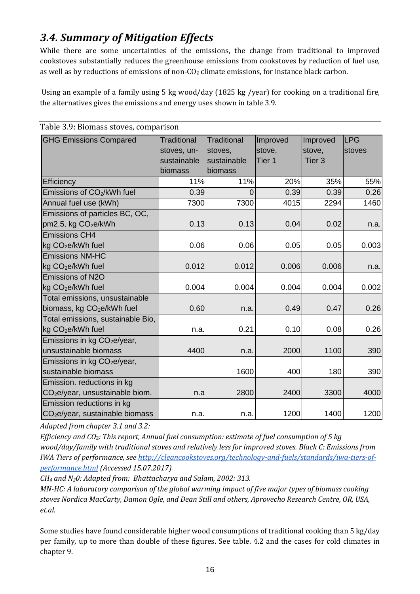## *3.4. Summary of Mitigation Effects*

While there are some uncertainties of the emissions, the change from traditional to improved cookstoves substantially reduces the greenhouse emissions from cookstoves by reduction of fuel use, as well as by reductions of emissions of non- $CO<sub>2</sub>$  climate emissions, for instance black carbon.

Using an example of a family using 5 kg wood/day (1825 kg /year) for cooking on a traditional fire, the alternatives gives the emissions and energy uses shown in table 3.9.

| <b>GHG Emissions Compared</b>               | Traditional | Traditional | Improved | Improved          | <b>LPG</b> |
|---------------------------------------------|-------------|-------------|----------|-------------------|------------|
|                                             | stoves, un- | stoves,     | stove,   | stove,            | stoves     |
|                                             | sustainable | sustainable | Tier 1   | Tier <sub>3</sub> |            |
|                                             | biomass     | biomass     |          |                   |            |
| Efficiency                                  | 11%         | 11%         | 20%      | 35%               | 55%        |
| Emissions of CO <sub>2</sub> /kWh fuel      | 0.39        | $\Omega$    | 0.39     | 0.39              | 0.26       |
| Annual fuel use (kWh)                       | 7300        | 7300        | 4015     | 2294              | 1460       |
| Emissions of particles BC, OC,              |             |             |          |                   |            |
| pm2.5, kg CO <sub>2</sub> e/kWh             | 0.13        | 0.13        | 0.04     | 0.02              | n.a.       |
| <b>Emissions CH4</b>                        |             |             |          |                   |            |
| kg CO <sub>2</sub> e/kWh fuel               | 0.06        | 0.06        | 0.05     | 0.05              | 0.003      |
| <b>Emissions NM-HC</b>                      |             |             |          |                   |            |
| kg CO <sub>2</sub> e/kWh fuel               | 0.012       | 0.012       | 0.006    | 0.006             | n.a.       |
| Emissions of N2O                            |             |             |          |                   |            |
| kg CO <sub>2</sub> e/kWh fuel               | 0.004       | 0.004       | 0.004    | 0.004             | 0.002      |
| Total emissions, unsustainable              |             |             |          |                   |            |
| biomass, kg CO <sub>2</sub> e/kWh fuel      | 0.60        | n.a.        | 0.49     | 0.47              | 0.26       |
| Total emissions, sustainable Bio,           |             |             |          |                   |            |
| kg CO <sub>2</sub> e/kWh fuel               | n.a.        | 0.21        | 0.10     | 0.08              | 0.26       |
| Emissions in kg CO <sub>2</sub> e/year,     |             |             |          |                   |            |
| unsustainable biomass                       | 4400        | n.a.        | 2000     | 1100              | 390        |
| Emissions in kg $CO2e/year$ ,               |             |             |          |                   |            |
| sustainable biomass                         |             | 1600        | 400      | 180               | 390        |
| Emission. reductions in kg                  |             |             |          |                   |            |
| CO <sub>2</sub> e/year, unsustainable biom. | n.a         | 2800        | 2400     | 3300              | 4000       |
| Emission reductions in kg                   |             |             |          |                   |            |
| CO <sub>2</sub> e/year, sustainable biomass | n.a.        | n.a.        | 1200     | 1400              | 1200       |

Table 3.9: Biomass stoves, comparison

*Adapted from chapter 3.1 and 3.2:* 

*Efficiency and CO*2*: This report, Annual fuel consumption: estimate of fuel consumption of 5 kg wood/day/family with traditional stoves and relatively less for improved stoves. Black C: Emissions from IWA Tiers of performance, see [http://cleancookstoves.org/technology-and-fuels/standards/iwa-tiers-of](http://cleancookstoves.org/technology-and-fuels/standards/iwa-tiers-of-performance.html)[performance.html](http://cleancookstoves.org/technology-and-fuels/standards/iwa-tiers-of-performance.html) (Accessed 15.07.2017)*

*CH<sup>4</sup> and N20: Adapted from: Bhattacharya and Salam, 2002: 313.*

*MN-HC: A laboratory comparison of the global warming impact of five major types of biomass cooking stoves Nordica MacCarty, Damon Ogle, and Dean Still and others, Aprovecho Research Centre, OR, USA, et.al.*

Some studies have found considerable higher wood consumptions of traditional cooking than 5 kg/day per family, up to more than double of these figures. See table. 4.2 and the cases for cold climates in chapter 9.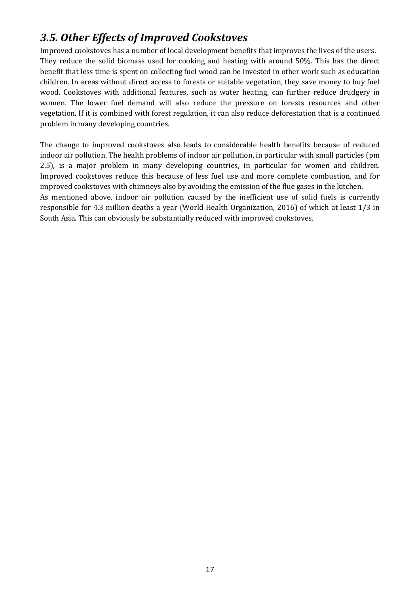### *3.5. Other Effects of Improved Cookstoves*

Improved cookstoves has a number of local development benefits that improves the lives of the users. They reduce the solid biomass used for cooking and heating with around 50%. This has the direct benefit that less time is spent on collecting fuel wood can be invested in other work such as education children. In areas without direct access to forests or suitable vegetation, they save money to buy fuel wood. Cookstoves with additional features, such as water heating, can further reduce drudgery in women. The lower fuel demand will also reduce the pressure on forests resources and other vegetation. If it is combined with forest regulation, it can also reduce deforestation that is a continued problem in many developing countries.

The change to improved cookstoves also leads to considerable health benefits because of reduced indoor air pollution. The health problems of indoor air pollution, in particular with small particles (pm 2.5), is a major problem in many developing countries, in particular for women and children. Improved cookstoves reduce this because of less fuel use and more complete combustion, and for improved cookstoves with chimneys also by avoiding the emission of the flue gases in the kitchen. As mentioned above. indoor air pollution caused by the inefficient use of solid fuels is currently responsible for 4.3 million deaths a year (World Health Organization, 2016) of which at least 1/3 in

South Asia. This can obviously be substantially reduced with improved cookstoves.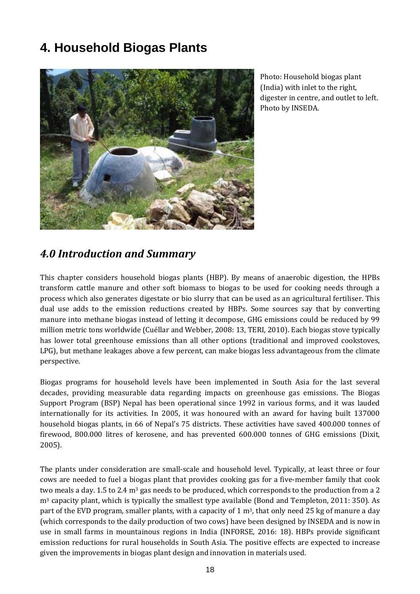# **4. Household Biogas Plants**



Photo: Household biogas plant (India) with inlet to the right, digester in centre, and outlet to left. Photo by INSEDA.

### *4.0 Introduction and Summary*

This chapter considers household biogas plants (HBP). By means of anaerobic digestion, the HPBs transform cattle manure and other soft biomass to biogas to be used for cooking needs through a process which also generates digestate or bio slurry that can be used as an agricultural fertiliser. This dual use adds to the emission reductions created by HBPs. Some sources say that by converting manure into methane biogas instead of letting it decompose, GHG emissions could be reduced by 99 million metric tons worldwide (Cuéllar and Webber, 2008: 13, TERI, 2010). Each biogas stove typically has lower total greenhouse emissions than all other options (traditional and improved cookstoves, LPG), but methane leakages above a few percent, can make biogas less advantageous from the climate perspective.

Biogas programs for household levels have been implemented in South Asia for the last several decades, providing measurable data regarding impacts on greenhouse gas emissions. The Biogas Support Program (BSP) Nepal has been operational since 1992 in various forms, and it was lauded internationally for its activities. In 2005, it was honoured with an award for having built 137000 household biogas plants, in 66 of Nepal's 75 districts. These activities have saved 400.000 tonnes of firewood, 800.000 litres of kerosene, and has prevented 600.000 tonnes of GHG emissions (Dixit, 2005).

The plants under consideration are small-scale and household level. Typically, at least three or four cows are needed to fuel a biogas plant that provides cooking gas for a five-member family that cook two meals a day. 1.5 to 2.4 m<sup>3</sup> gas needs to be produced, which corresponds to the production from a 2 m<sup>3</sup> capacity plant, which is typically the smallest type available (Bond and Templeton, 2011: 350). As part of the EVD program, smaller plants, with a capacity of 1  $\text{m}^3$ , that only need 25 kg of manure a day (which corresponds to the daily production of two cows) have been designed by INSEDA and is now in use in small farms in mountainous regions in India (INFORSE, 2016: 18). HBPs provide significant emission reductions for rural households in South Asia. The positive effects are expected to increase given the improvements in biogas plant design and innovation in materials used.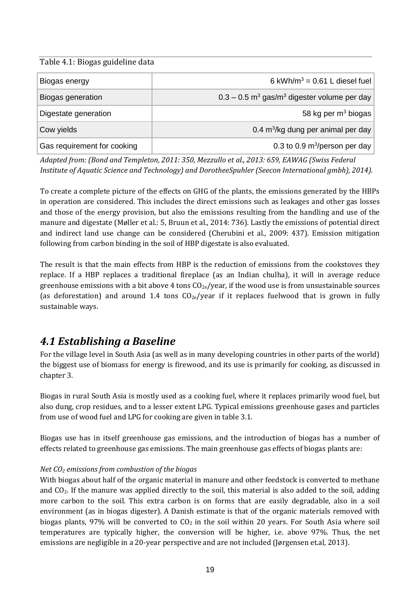#### Table 4.1: Biogas guideline data

| Biogas energy               | 6 kWh/m <sup>3</sup> = $0.61$ L diesel fuel                           |
|-----------------------------|-----------------------------------------------------------------------|
| Biogas generation           | $0.3 - 0.5$ m <sup>3</sup> gas/m <sup>3</sup> digester volume per day |
| Digestate generation        | 58 kg per $m3$ biogas                                                 |
| Cow yields                  | 0.4 m <sup>3</sup> /kg dung per animal per day                        |
| Gas requirement for cooking | 0.3 to 0.9 $m^3$ /person per day                                      |

*Adapted from: (Bond and Templeton, 2011: 350, Mezzullo et al., 2013: 659, EAWAG (Swiss Federal Institute of Aquatic Science and Technology) and DorotheeSpuhler (Seecon International gmbh), 2014).* 

To create a complete picture of the effects on GHG of the plants, the emissions generated by the HBPs in operation are considered. This includes the direct emissions such as leakages and other gas losses and those of the energy provision, but also the emissions resulting from the handling and use of the manure and digestate (Møller et al.: 5, Bruun et al., 2014: 736). Lastly the emissions of potential direct and indirect land use change can be considered (Cherubini et al., 2009: 437). Emission mitigation following from carbon binding in the soil of HBP digestate is also evaluated.

The result is that the main effects from HBP is the reduction of emissions from the cookstoves they replace. If a HBP replaces a traditional fireplace (as an Indian chulha), it will in average reduce greenhouse emissions with a bit above 4 tons  $CO_{2e}/year$ , if the wood use is from unsustainable sources (as deforestation) and around 1.4 tons  $CO_{2e}/year$  if it replaces fuelwood that is grown in fully sustainable ways.

### *4.1 Establishing a Baseline*

For the village level in South Asia (as well as in many developing countries in other parts of the world) the biggest use of biomass for energy is firewood, and its use is primarily for cooking, as discussed in chapter 3.

Biogas in rural South Asia is mostly used as a cooking fuel, where it replaces primarily wood fuel, but also dung, crop residues, and to a lesser extent LPG. Typical emissions greenhouse gases and particles from use of wood fuel and LPG for cooking are given in table 3.1.

Biogas use has in itself greenhouse gas emissions, and the introduction of biogas has a number of effects related to greenhouse gas emissions. The main greenhouse gas effects of biogas plants are:

#### *Net CO<sup>2</sup> emissions from combustion of the biogas*

With biogas about half of the organic material in manure and other feedstock is converted to methane and CO2. If the manure was applied directly to the soil, this material is also added to the soil, adding more carbon to the soil. This extra carbon is on forms that are easily degradable, also in a soil environment (as in biogas digester). A Danish estimate is that of the organic materials removed with biogas plants, 97% will be converted to  $CO<sub>2</sub>$  in the soil within 20 years. For South Asia where soil temperatures are typically higher, the conversion will be higher, i.e. above 97%. Thus, the net emissions are negligible in a 20-year perspective and are not included (Jørgensen et.al, 2013).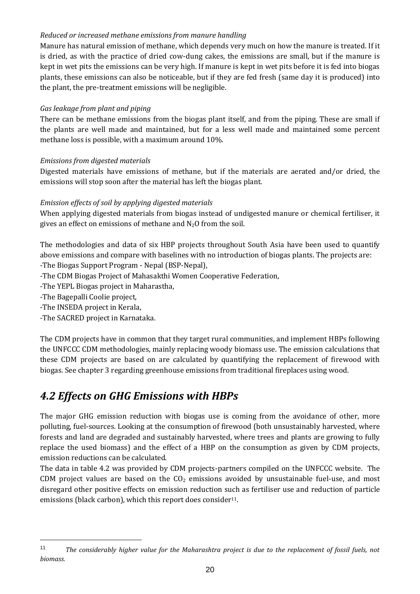#### *Reduced or increased methane emissions from manure handling*

Manure has natural emission of methane, which depends very much on how the manure is treated. If it is dried, as with the practice of dried cow-dung cakes, the emissions are small, but if the manure is kept in wet pits the emissions can be very high. If manure is kept in wet pits before it is fed into biogas plants, these emissions can also be noticeable, but if they are fed fresh (same day it is produced) into the plant, the pre-treatment emissions will be negligible.

#### *Gas leakage from plant and piping*

There can be methane emissions from the biogas plant itself, and from the piping. These are small if the plants are well made and maintained, but for a less well made and maintained some percent methane loss is possible, with a maximum around 10%.

#### *Emissions from digested materials*

Digested materials have emissions of methane, but if the materials are aerated and/or dried, the emissions will stop soon after the material has left the biogas plant.

#### *Emission effects of soil by applying digested materials*

When applying digested materials from biogas instead of undigested manure or chemical fertiliser, it gives an effect on emissions of methane and  $N_2O$  from the soil.

The methodologies and data of six HBP projects throughout South Asia have been used to quantify above emissions and compare with baselines with no introduction of biogas plants. The projects are: -The Biogas Support Program - Nepal (BSP-Nepal),

-The CDM Biogas Project of Mahasakthi Women Cooperative Federation,

-The YEPL Biogas project in Maharastha,

-The Bagepalli Coolie project,

-The INSEDA project in Kerala,

-The SACRED project in Karnataka.

The CDM projects have in common that they target rural communities, and implement HBPs following the UNFCCC CDM methodologies, mainly replacing woody biomass use. The emission calculations that these CDM projects are based on are calculated by quantifying the replacement of firewood with biogas. See chapter 3 regarding greenhouse emissions from traditional fireplaces using wood.

### *4.2 Effects on GHG Emissions with HBPs*

The major GHG emission reduction with biogas use is coming from the avoidance of other, more polluting, fuel-sources. Looking at the consumption of firewood (both unsustainably harvested, where forests and land are degraded and sustainably harvested, where trees and plants are growing to fully replace the used biomass) and the effect of a HBP on the consumption as given by CDM projects, emission reductions can be calculated.

The data in table 4.2 was provided by CDM projects-partners compiled on the UNFCCC website. The CDM project values are based on the  $CO<sub>2</sub>$  emissions avoided by unsustainable fuel-use, and most disregard other positive effects on emission reduction such as fertiliser use and reduction of particle emissions (black carbon), which this report does consider<sup>11</sup>.

<sup>11</sup> *The considerably higher value for the Maharashtra project is due to the replacement of fossil fuels, not biomass.*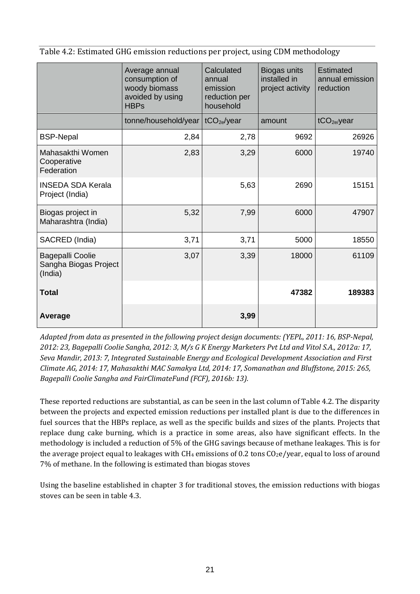Table 4.2: Estimated GHG emission reductions per project, using CDM methodology

|                                                             | Average annual<br>consumption of<br>woody biomass<br>avoided by using<br><b>HBPs</b> | Calculated<br>annual<br>emission<br>reduction per<br>household | Biogas units<br>installed in<br>project activity | <b>Estimated</b><br>annual emission<br>reduction |
|-------------------------------------------------------------|--------------------------------------------------------------------------------------|----------------------------------------------------------------|--------------------------------------------------|--------------------------------------------------|
|                                                             | tonne/household/year                                                                 | tCO <sub>2e</sub> /year                                        | amount                                           | tCO <sub>2e</sub> /year                          |
| <b>BSP-Nepal</b>                                            | 2,84                                                                                 | 2,78                                                           | 9692                                             | 26926                                            |
| Mahasakthi Women<br>Cooperative<br>Federation               | 2,83                                                                                 | 3,29                                                           | 6000                                             | 19740                                            |
| <b>INSEDA SDA Kerala</b><br>Project (India)                 |                                                                                      | 5,63                                                           | 2690                                             | 15151                                            |
| Biogas project in<br>Maharashtra (India)                    | 5,32                                                                                 | 7,99                                                           | 6000                                             | 47907                                            |
| SACRED (India)                                              | 3,71                                                                                 | 3,71                                                           | 5000                                             | 18550                                            |
| <b>Bagepalli Coolie</b><br>Sangha Biogas Project<br>(India) | 3,07                                                                                 | 3,39                                                           | 18000                                            | 61109                                            |
| Total                                                       |                                                                                      |                                                                | 47382                                            | 189383                                           |
| Average                                                     |                                                                                      | 3,99                                                           |                                                  |                                                  |

*Adapted from data as presented in the following project design documents: (YEPL, 2011: 16, BSP-Nepal, 2012: 23, Bagepalli Coolie Sangha, 2012: 3, M/s G K Energy Marketers Pvt Ltd and Vitol S.A., 2012a: 17, Seva Mandir, 2013: 7, Integrated Sustainable Energy and Ecological Development Association and First Climate AG, 2014: 17, Mahasakthi MAC Samakya Ltd, 2014: 17, Somanathan and Bluffstone, 2015: 265, Bagepalli Coolie Sangha and FairClimateFund (FCF), 2016b: 13).*

These reported reductions are substantial, as can be seen in the last column of Table 4.2. The disparity between the projects and expected emission reductions per installed plant is due to the differences in fuel sources that the HBPs replace, as well as the specific builds and sizes of the plants. Projects that replace dung cake burning, which is a practice in some areas, also have significant effects. In the methodology is included a reduction of 5% of the GHG savings because of methane leakages. This is for the average project equal to leakages with  $CH_4$  emissions of 0.2 tons  $CO_2e/year$ , equal to loss of around 7% of methane. In the following is estimated than biogas stoves

Using the baseline established in chapter 3 for traditional stoves, the emission reductions with biogas stoves can be seen in table 4.3.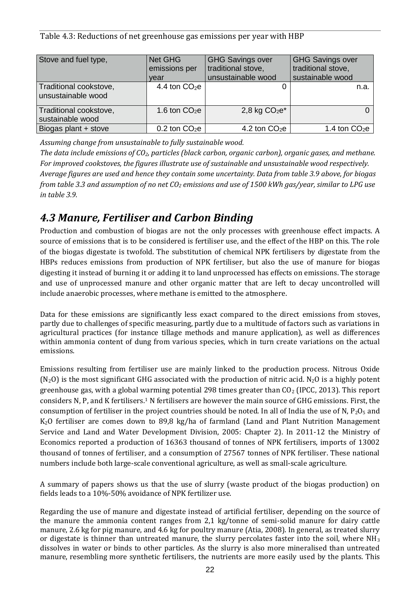Table 4.3: Reductions of net greenhouse gas emissions per year with HBP

| Stove and fuel type,                         | Net GHG<br>emissions per<br>vear | <b>GHG Savings over</b><br>traditional stove,<br>unsustainable wood | <b>GHG Savings over</b><br>traditional stove,<br>sustainable wood |
|----------------------------------------------|----------------------------------|---------------------------------------------------------------------|-------------------------------------------------------------------|
| Traditional cookstove,<br>unsustainable wood | 4.4 ton $CO2e$                   |                                                                     | n.a.                                                              |
| Traditional cookstove,<br>sustainable wood   | 1.6 ton $CO2e$                   | 2,8 kg $CO2e*$                                                      |                                                                   |
| Biogas plant + stove                         | $0.2$ ton $CO2e$                 | 4.2 ton $CO2e$                                                      | 1.4 ton $CO2e$                                                    |

*Assuming change from unsustainable to fully sustainable wood.*

*The data include emissions of CO2, particles (black carbon, organic carbon), organic gases, and methane. For improved cookstoves, the figures illustrate use of sustainable and unsustainable wood respectively. Average figures are used and hence they contain some uncertainty. Data from table 3.9 above, for biogas from table 3.3 and assumption of no net CO<sup>2</sup> emissions and use of 1500 kWh gas/year, similar to LPG use in table 3.9.*

### *4.3 Manure, Fertiliser and Carbon Binding*

Production and combustion of biogas are not the only processes with greenhouse effect impacts. A source of emissions that is to be considered is fertiliser use, and the effect of the HBP on this. The role of the biogas digestate is twofold. The substitution of chemical NPK fertilisers by digestate from the HBPs reduces emissions from production of NPK fertiliser, but also the use of manure for biogas digesting it instead of burning it or adding it to land unprocessed has effects on emissions. The storage and use of unprocessed manure and other organic matter that are left to decay uncontrolled will include anaerobic processes, where methane is emitted to the atmosphere.

Data for these emissions are significantly less exact compared to the direct emissions from stoves, partly due to challenges of specific measuring, partly due to a multitude of factors such as variations in agricultural practices (for instance tillage methods and manure application), as well as differences within ammonia content of dung from various species, which in turn create variations on the actual emissions.

Emissions resulting from fertiliser use are mainly linked to the production process. Nitrous Oxide  $(N_2O)$  is the most significant GHG associated with the production of nitric acid. N<sub>2</sub>O is a highly potent greenhouse gas, with a global warming potential 298 times greater than CO<sup>2</sup> (IPCC, 2013). This report considers N, P, and K fertilisers.<sup>1</sup> N fertilisers are however the main source of GHG emissions. First, the consumption of fertiliser in the project countries should be noted. In all of India the use of N,  $P_2O_5$  and K2O fertiliser are comes down to 89,8 kg/ha of farmland (Land and Plant Nutrition Management Service and Land and Water Development Division, 2005: Chapter 2). In 2011-12 the Ministry of Economics reported a production of 16363 thousand of tonnes of NPK fertilisers, imports of 13002 thousand of tonnes of fertiliser, and a consumption of 27567 tonnes of NPK fertiliser. These national numbers include both large-scale conventional agriculture, as well as small-scale agriculture.

A summary of papers shows us that the use of slurry (waste product of the biogas production) on fields leads to a 10%-50% avoidance of NPK fertilizer use.

Regarding the use of manure and digestate instead of artificial fertiliser, depending on the source of the manure the ammonia content ranges from 2,1 kg/tonne of semi-solid manure for dairy cattle manure, 2.6 kg for pig manure, and 4.6 kg for poultry manure (Atia, 2008). In general, as treated slurry or digestate is thinner than untreated manure, the slurry percolates faster into the soil, where  $NH<sub>3</sub>$ dissolves in water or binds to other particles. As the slurry is also more mineralised than untreated manure, resembling more synthetic fertilisers, the nutrients are more easily used by the plants. This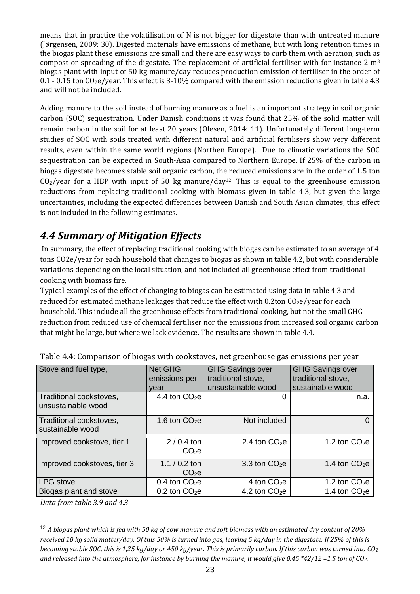means that in practice the volatilisation of N is not bigger for digestate than with untreated manure (Jørgensen, 2009: 30). Digested materials have emissions of methane, but with long retention times in the biogas plant these emissions are small and there are easy ways to curb them with aeration, such as compost or spreading of the digestate. The replacement of artificial fertiliser with for instance  $2 \text{ m}^3$ biogas plant with input of 50 kg manure/day reduces production emission of fertiliser in the order of 0.1 - 0.15 ton  $CO<sub>2</sub>e/year$ . This effect is 3-10% compared with the emission reductions given in table 4.3 and will not be included.

Adding manure to the soil instead of burning manure as a fuel is an important strategy in soil organic carbon (SOC) sequestration. Under Danish conditions it was found that 25% of the solid matter will remain carbon in the soil for at least 20 years (Olesen, 2014: 11). Unfortunately different long-term studies of SOC with soils treated with different natural and artificial fertilisers show very different results, even within the same world regions (Northen Europe). Due to climatic variations the SOC sequestration can be expected in South-Asia compared to Northern Europe. If 25% of the carbon in biogas digestate becomes stable soil organic carbon, the reduced emissions are in the order of 1.5 ton  $CO<sub>2</sub>/year$  for a HBP with input of 50 kg manure/day<sup>12</sup>. This is equal to the greenhouse emission reductions from replacing traditional cooking with biomass given in table 4.3, but given the large uncertainties, including the expected differences between Danish and South Asian climates, this effect is not included in the following estimates.

### *4.4 Summary of Mitigation Effects*

In summary, the effect of replacing traditional cooking with biogas can be estimated to an average of 4 tons CO2e/year for each household that changes to biogas as shown in table 4.2, but with considerable variations depending on the local situation, and not included all greenhouse effect from traditional cooking with biomass fire.

Typical examples of the effect of changing to biogas can be estimated using data in table 4.3 and reduced for estimated methane leakages that reduce the effect with  $0.2$ ton CO<sub>2</sub>e/year for each household. This include all the greenhouse effects from traditional cooking, but not the small GHG reduction from reduced use of chemical fertiliser nor the emissions from increased soil organic carbon that might be large, but where we lack evidence. The results are shown in table 4.4.

| Stove and fuel type,                          | <b>Net GHG</b><br>emissions per<br>vear | <b>GHG Savings over</b><br>traditional stove,<br>unsustainable wood | <b>GHG Savings over</b><br>traditional stove,<br>sustainable wood |
|-----------------------------------------------|-----------------------------------------|---------------------------------------------------------------------|-------------------------------------------------------------------|
| Traditional cookstoves,<br>unsustainable wood | 4.4 ton $CO2e$                          | $\mathcal{L}$                                                       | n.a.                                                              |
| Traditional cookstoves,<br>sustainable wood   | 1.6 ton $CO2e$                          | Not included                                                        |                                                                   |
| Improved cookstove, tier 1                    | $2/0.4$ ton<br>$CO2$ $e$                | 2.4 ton $CO2e$                                                      | 1.2 ton $CO2e$                                                    |
| Improved cookstoves, tier 3                   | $1.1 / 0.2$ ton<br>CO <sub>2</sub> e    | 3.3 ton $CO2e$                                                      | 1.4 ton $CO2e$                                                    |
| <b>LPG</b> stove                              | 0.4 ton $CO2e$                          | 4 ton $CO2e$                                                        | 1.2 ton $CO2e$                                                    |
| Biogas plant and stove                        | $0.2$ ton $CO2e$                        | 4.2 ton $CO2e$                                                      | 1.4 ton $CO2e$                                                    |

Table 4.4: Comparison of biogas with cookstoves, net greenhouse gas emissions per year

*Data from table 3.9 and 4.3*

 $\overline{a}$ 

<sup>12</sup> *A biogas plant which is fed with 50 kg of cow manure and soft biomass with an estimated dry content of 20% received 10 kg solid matter/day. Of this 50% is turned into gas, leaving 5 kg/day in the digestate. If 25% of this is becoming stable SOC, this is 1,25 kg/day or 450 kg/year. This is primarily carbon. If this carbon was turned into CO<sup>2</sup> and released into the atmosphere, for instance by burning the manure, it would give 0.45 \*42/12 =1.5 ton of CO2.*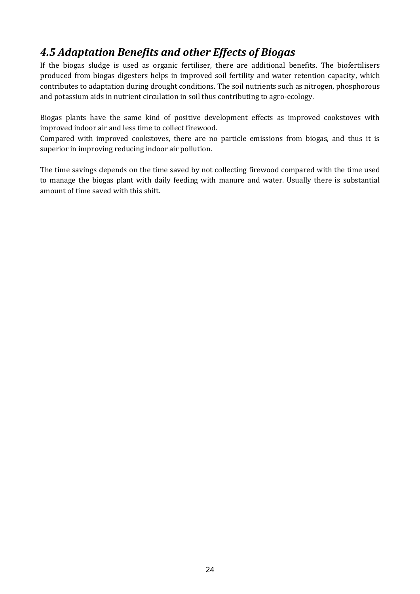## *4.5 Adaptation Benefits and other Effects of Biogas*

If the biogas sludge is used as organic fertiliser, there are additional benefits. The biofertilisers produced from biogas digesters helps in improved soil fertility and water retention capacity, which contributes to adaptation during drought conditions. The soil nutrients such as nitrogen, phosphorous and potassium aids in nutrient circulation in soil thus contributing to agro-ecology.

Biogas plants have the same kind of positive development effects as improved cookstoves with improved indoor air and less time to collect firewood.

Compared with improved cookstoves, there are no particle emissions from biogas, and thus it is superior in improving reducing indoor air pollution.

The time savings depends on the time saved by not collecting firewood compared with the time used to manage the biogas plant with daily feeding with manure and water. Usually there is substantial amount of time saved with this shift.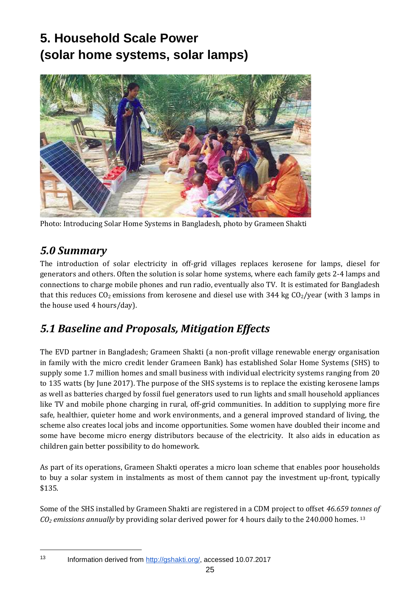# **5. Household Scale Power (solar home systems, solar lamps)**



Photo: Introducing Solar Home Systems in Bangladesh, photo by Grameen Shakti

### *5.0 Summary*

The introduction of solar electricity in off-grid villages replaces kerosene for lamps, diesel for generators and others. Often the solution is solar home systems, where each family gets 2-4 lamps and connections to charge mobile phones and run radio, eventually also TV. It is estimated for Bangladesh that this reduces  $CO_2$  emissions from kerosene and diesel use with 344 kg  $CO_2$ /year (with 3 lamps in the house used 4 hours/day).

## *5.1 Baseline and Proposals, Mitigation Effects*

The EVD partner in Bangladesh; Grameen Shakti (a non-profit village renewable energy organisation in family with the micro credit lender Grameen Bank) has established Solar Home Systems (SHS) to supply some 1.7 million homes and small business with individual electricity systems ranging from 20 to 135 watts (by June 2017). The purpose of the SHS systems is to replace the existing kerosene lamps as well as batteries charged by fossil fuel generators used to run lights and small household appliances like TV and mobile phone charging in rural, off-grid communities. In addition to supplying more fire safe, healthier, quieter home and work environments, and a general improved standard of living, the scheme also creates local jobs and income opportunities. Some women have doubled their income and some have become micro energy distributors because of the electricity. It also aids in education as children gain better possibility to do homework.

As part of its operations, Grameen Shakti operates a micro loan scheme that enables poor households to buy a solar system in instalments as most of them cannot pay the investment up-front, typically \$135.

Some of the SHS installed by Grameen Shakti are registered in a CDM project to offset *46.659 tonnes of CO<sup>2</sup> emissions annually* by providing solar derived power for 4 hours daily to the 240.000 homes. <sup>13</sup>

<sup>13</sup> Information derived from [http://gshakti.org/,](http://gshakti.org/) accessed 10.07.2017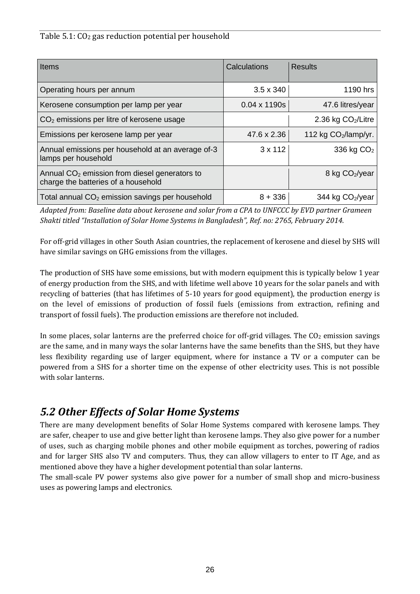#### Table 5.1: CO<sup>2</sup> gas reduction potential per household

| <b>Items</b>                                                                           | Calculations        | <b>Results</b>               |
|----------------------------------------------------------------------------------------|---------------------|------------------------------|
| Operating hours per annum                                                              | $3.5 \times 340$    | 1190 hrs                     |
| Kerosene consumption per lamp per year                                                 | $0.04 \times 1190s$ | 47.6 litres/year             |
| $CO2$ emissions per litre of kerosene usage                                            |                     | 2.36 kg $CO2/Litre$          |
| Emissions per kerosene lamp per year                                                   | 47.6 x 2.36         | 112 kg $CO2/lamp/yr$ .       |
| Annual emissions per household at an average of-3<br>lamps per household               | $3 \times 112$      | 336 kg $CO2$                 |
| Annual $CO2$ emission from diesel generators to<br>charge the batteries of a household |                     | 8 kg CO <sub>2</sub> /year   |
| Total annual $CO2$ emission savings per household                                      | $8 + 336$           | 344 kg CO <sub>2</sub> /year |

*Adapted from: Baseline data about kerosene and solar from a CPA to UNFCCC by EVD partner Grameen Shakti titled "Installation of Solar Home Systems in Bangladesh", Ref. no: 2765, February 2014.*

For off-grid villages in other South Asian countries, the replacement of kerosene and diesel by SHS will have similar savings on GHG emissions from the villages.

The production of SHS have some emissions, but with modern equipment this is typically below 1 year of energy production from the SHS, and with lifetime well above 10 years for the solar panels and with recycling of batteries (that has lifetimes of 5-10 years for good equipment), the production energy is on the level of emissions of production of fossil fuels (emissions from extraction, refining and transport of fossil fuels). The production emissions are therefore not included.

In some places, solar lanterns are the preferred choice for off-grid villages. The  $CO<sub>2</sub>$  emission savings are the same, and in many ways the solar lanterns have the same benefits than the SHS, but they have less flexibility regarding use of larger equipment, where for instance a TV or a computer can be powered from a SHS for a shorter time on the expense of other electricity uses. This is not possible with solar lanterns.

### *5.2 Other Effects of Solar Home Systems*

There are many development benefits of Solar Home Systems compared with kerosene lamps. They are safer, cheaper to use and give better light than kerosene lamps. They also give power for a number of uses, such as charging mobile phones and other mobile equipment as torches, powering of radios and for larger SHS also TV and computers. Thus, they can allow villagers to enter to IT Age, and as mentioned above they have a higher development potential than solar lanterns.

The small-scale PV power systems also give power for a number of small shop and micro-business uses as powering lamps and electronics.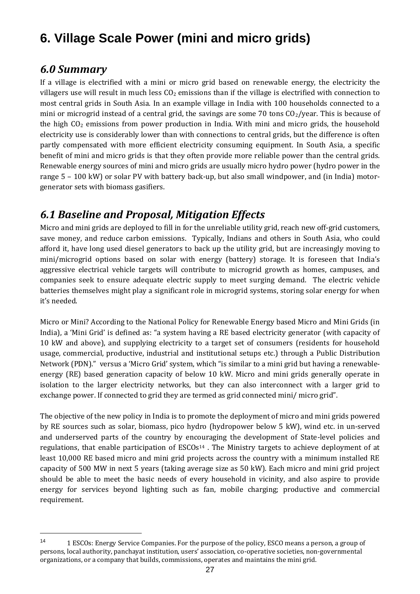# **6. Village Scale Power (mini and micro grids)**

### *6.0 Summary*

 $\overline{a}$ 

If a village is electrified with a mini or micro grid based on renewable energy, the electricity the villagers use will result in much less  $C_2$  emissions than if the village is electrified with connection to most central grids in South Asia. In an example village in India with 100 households connected to a mini or microgrid instead of a central grid, the savings are some 70 tons  $CO<sub>2</sub>/year$ . This is because of the high  $CO<sub>2</sub>$  emissions from power production in India. With mini and micro grids, the household electricity use is considerably lower than with connections to central grids, but the difference is often partly compensated with more efficient electricity consuming equipment. In South Asia, a specific benefit of mini and micro grids is that they often provide more reliable power than the central grids. Renewable energy sources of mini and micro grids are usually micro hydro power (hydro power in the range 5 – 100 kW) or solar PV with battery back-up, but also small windpower, and (in India) motorgenerator sets with biomass gasifiers.

### *6.1 Baseline and Proposal, Mitigation Effects*

Micro and mini grids are deployed to fill in for the unreliable utility grid, reach new off-grid customers, save money, and reduce carbon emissions. Typically, Indians and others in South Asia, who could afford it, have long used diesel generators to back up the utility grid, but are increasingly moving to mini/microgrid options based on solar with energy (battery) storage. It is foreseen that India's aggressive electrical vehicle targets will contribute to microgrid growth as homes, campuses, and companies seek to ensure adequate electric supply to meet surging demand. The electric vehicle batteries themselves might play a significant role in microgrid systems, storing solar energy for when it's needed.

Micro or Mini? According to the National Policy for Renewable Energy based Micro and Mini Grids (in India), a 'Mini Grid' is defined as: "a system having a RE based electricity generator (with capacity of 10 kW and above), and supplying electricity to a target set of consumers (residents for household usage, commercial, productive, industrial and institutional setups etc.) through a Public Distribution Network (PDN)." versus a 'Micro Grid' system, which "is similar to a mini grid but having a renewableenergy (RE) based generation capacity of below 10 kW. Micro and mini grids generally operate in isolation to the larger electricity networks, but they can also interconnect with a larger grid to exchange power. If connected to grid they are termed as grid connected mini/ micro grid".

The objective of the new policy in India is to promote the deployment of micro and mini grids powered by RE sources such as solar, biomass, pico hydro (hydropower below 5 kW), wind etc. in un-served and underserved parts of the country by encouraging the development of State-level policies and regulations, that enable participation of ESCOs<sup>14</sup>. The Ministry targets to achieve deployment of at least 10,000 RE based micro and mini grid projects across the country with a minimum installed RE capacity of 500 MW in next 5 years (taking average size as 50 kW). Each micro and mini grid project should be able to meet the basic needs of every household in vicinity, and also aspire to provide energy for services beyond lighting such as fan, mobile charging; productive and commercial requirement.

<sup>14</sup> 1 ESCOs: Energy Service Companies. For the purpose of the policy, ESCO means a person, a group of persons, local authority, panchayat institution, users' association, co-operative societies, non-governmental organizations, or a company that builds, commissions, operates and maintains the mini grid.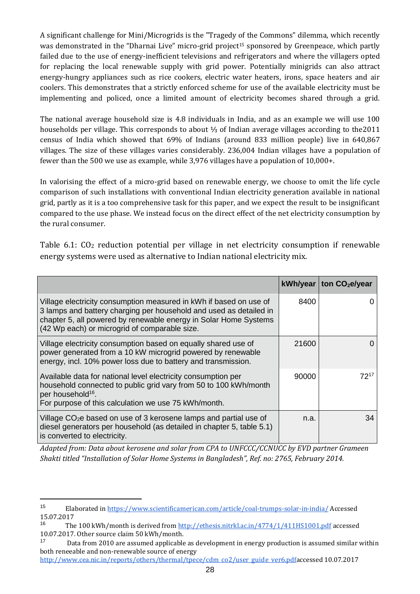A significant challenge for Mini/Microgrids is the "Tragedy of the Commons" dilemma, which recently was demonstrated in the "Dharnai Live" micro-grid project<sup>15</sup> sponsored by Greenpeace, which partly failed due to the use of energy-inefficient televisions and refrigerators and where the villagers opted for replacing the local renewable supply with grid power. Potentially minigrids can also attract energy-hungry appliances such as rice cookers, electric water heaters, irons, space heaters and air coolers. This demonstrates that a strictly enforced scheme for use of the available electricity must be implementing and policed, once a limited amount of electricity becomes shared through a grid.

The national average household size is 4.8 individuals in India, and as an example we will use 100 households per village. This corresponds to about ⅓ of Indian average villages according to the2011 census of India which showed that 69% of Indians (around 833 million people) live in 640,867 villages. The size of these villages varies considerably. 236,004 Indian villages have a population of fewer than the 500 we use as example, while 3,976 villages have a population of 10,000+.

In valorising the effect of a micro-grid based on renewable energy, we choose to omit the life cycle comparison of such installations with conventional Indian electricity generation available in national grid, partly as it is a too comprehensive task for this paper, and we expect the result to be insignificant compared to the use phase. We instead focus on the direct effect of the net electricity consumption by the rural consumer.

Table 6.1: CO<sup>2</sup> reduction potential per village in net electricity consumption if renewable energy systems were used as alternative to Indian national electricity mix.

|                                                                                                                                                                                                                                                               |       | kWh/year   ton $CO2e/year$ |
|---------------------------------------------------------------------------------------------------------------------------------------------------------------------------------------------------------------------------------------------------------------|-------|----------------------------|
| Village electricity consumption measured in kWh if based on use of<br>3 lamps and battery charging per household and used as detailed in<br>chapter 5, all powered by renewable energy in Solar Home Systems<br>(42 Wp each) or microgrid of comparable size. | 8400  |                            |
| Village electricity consumption based on equally shared use of<br>power generated from a 10 kW microgrid powered by renewable<br>energy, incl. 10% power loss due to battery and transmission.                                                                | 21600 |                            |
| Available data for national level electricity consumption per<br>household connected to public grid vary from 50 to 100 kWh/month<br>per household <sup>16</sup> .<br>For purpose of this calculation we use 75 kWh/month.                                    | 90000 | 7217                       |
| Village CO <sub>2</sub> e based on use of 3 kerosene lamps and partial use of<br>diesel generators per household (as detailed in chapter 5, table 5.1)<br>is converted to electricity.                                                                        | n.a.  | 34                         |

*Adapted from: Data about kerosene and solar from CPA to UNFCCC/CCNUCC by EVD partner Grameen Shakti titled "Installation of Solar Home Systems in Bangladesh", Ref. no: 2765, February 2014.* 

 $\overline{a}$ 

[http://www.cea.nic.in/reports/others/thermal/tpece/cdm\\_co2/user\\_guide\\_ver6.pdfa](http://www.cea.nic.in/reports/others/thermal/tpece/cdm_co2/user_guide_ver6.pdf)ccessed 10.07.2017

<sup>15</sup> Elaborated i[n https://www.scientificamerican.com/article/coal-trumps-solar-in-india/](https://www.scientificamerican.com/article/coal-trumps-solar-in-india/) Accessed 15.07.2017

<sup>&</sup>lt;sup>16</sup> The 100 kWh/month is derived fro[m http://ethesis.nitrkl.ac.in/4774/1/411HS1001.pdf](http://ethesis.nitrkl.ac.in/4774/1/411HS1001.pdf) accessed 10.07.2017. Other source claim 50 kWh/month.

<sup>&</sup>lt;sup>17</sup> Data from 2010 are assumed applicable as development in energy production is assumed similar within both reneeable and non-renewable source of energy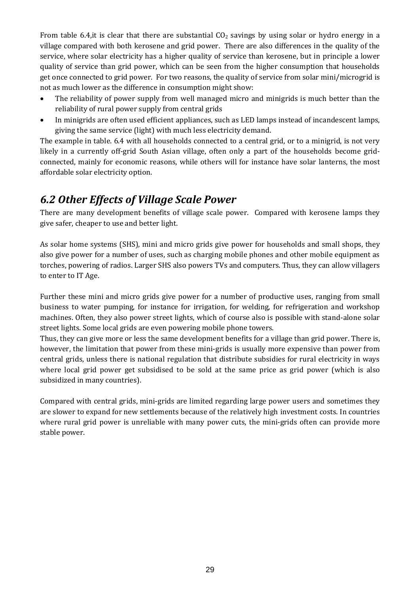From table 6.4, it is clear that there are substantial  $CO<sub>2</sub>$  savings by using solar or hydro energy in a village compared with both kerosene and grid power. There are also differences in the quality of the service, where solar electricity has a higher quality of service than kerosene, but in principle a lower quality of service than grid power, which can be seen from the higher consumption that households get once connected to grid power. For two reasons, the quality of service from solar mini/microgrid is not as much lower as the difference in consumption might show:

- The reliability of power supply from well managed micro and minigrids is much better than the reliability of rural power supply from central grids
- In minigrids are often used efficient appliances, such as LED lamps instead of incandescent lamps, giving the same service (light) with much less electricity demand.

The example in table. 6.4 with all households connected to a central grid, or to a minigrid, is not very likely in a currently off-grid South Asian village, often only a part of the households become gridconnected, mainly for economic reasons, while others will for instance have solar lanterns, the most affordable solar electricity option.

### *6.2 Other Effects of Village Scale Power*

There are many development benefits of village scale power. Compared with kerosene lamps they give safer, cheaper to use and better light.

As solar home systems (SHS), mini and micro grids give power for households and small shops, they also give power for a number of uses, such as charging mobile phones and other mobile equipment as torches, powering of radios. Larger SHS also powers TVs and computers. Thus, they can allow villagers to enter to IT Age.

Further these mini and micro grids give power for a number of productive uses, ranging from small business to water pumping, for instance for irrigation, for welding, for refrigeration and workshop machines. Often, they also power street lights, which of course also is possible with stand-alone solar street lights. Some local grids are even powering mobile phone towers.

Thus, they can give more or less the same development benefits for a village than grid power. There is, however, the limitation that power from these mini-grids is usually more expensive than power from central grids, unless there is national regulation that distribute subsidies for rural electricity in ways where local grid power get subsidised to be sold at the same price as grid power (which is also subsidized in many countries).

Compared with central grids, mini-grids are limited regarding large power users and sometimes they are slower to expand for new settlements because of the relatively high investment costs. In countries where rural grid power is unreliable with many power cuts, the mini-grids often can provide more stable power.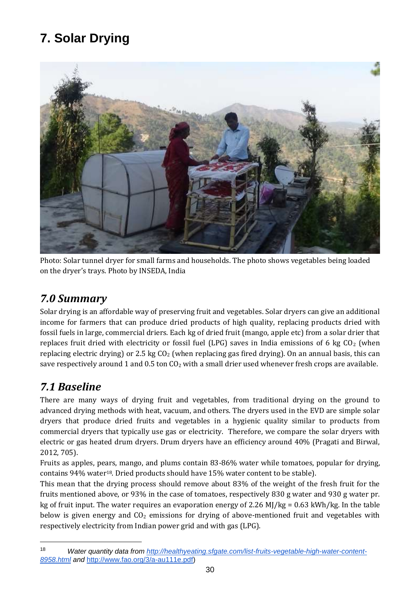# **7. Solar Drying**



Photo: Solar tunnel dryer for small farms and households. The photo shows vegetables being loaded on the dryer's trays. Photo by INSEDA, India

### *7.0 Summary*

Solar drying is an affordable way of preserving fruit and vegetables. Solar dryers can give an additional income for farmers that can produce dried products of high quality, replacing products dried with fossil fuels in large, commercial driers. Each kg of dried fruit (mango, apple etc) from a solar drier that replaces fruit dried with electricity or fossil fuel (LPG) saves in India emissions of 6 kg  $CO<sub>2</sub>$  (when replacing electric drying) or 2.5 kg  $CO<sub>2</sub>$  (when replacing gas fired drying). On an annual basis, this can save respectively around 1 and 0.5 ton  $CO<sub>2</sub>$  with a small drier used whenever fresh crops are available.

### *7.1 Baseline*

 $\overline{a}$ 

There are many ways of drying fruit and vegetables, from traditional drying on the ground to advanced drying methods with heat, vacuum, and others. The dryers used in the EVD are simple solar dryers that produce dried fruits and vegetables in a hygienic quality similar to products from commercial dryers that typically use gas or electricity. Therefore, we compare the solar dryers with electric or gas heated drum dryers. Drum dryers have an efficiency around 40% (Pragati and Birwal, 2012, 705).

Fruits as apples, pears, mango, and plums contain 83-86% water while tomatoes, popular for drying, contains 94% water18. Dried products should have 15% water content to be stable).

This mean that the drying process should remove about 83% of the weight of the fresh fruit for the fruits mentioned above, or 93% in the case of tomatoes, respectively 830 g water and 930 g water pr. kg of fruit input. The water requires an evaporation energy of 2.26 MJ/kg = 0.63 kWh/kg. In the table below is given energy and  $CO<sub>2</sub>$  emissions for drying of above-mentioned fruit and vegetables with respectively electricity from Indian power grid and with gas (LPG).

<sup>18</sup> *Water quantity data from [http://healthyeating.sfgate.com/list-fruits-vegetable-high-water-content-](http://healthyeating.sfgate.com/list-fruits-vegetable-high-water-content-8958.html)[8958.html](http://healthyeating.sfgate.com/list-fruits-vegetable-high-water-content-8958.html) and* [http://www.fao.org/3/a-au111e.pdf\)](http://www.fao.org/3/a-au111e.pdf)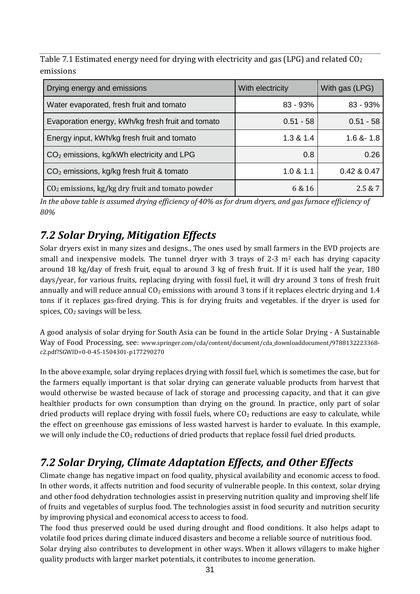Table 7.1 Estimated energy need for drying with electricity and gas (LPG) and related CO<sub>2</sub> emissions

| Drying energy and emissions                           | With electricity | With gas (LPG)  |
|-------------------------------------------------------|------------------|-----------------|
| Water evaporated, fresh fruit and tomato              | $83 - 93%$       | $83 - 93%$      |
| Evaporation energy, kWh/kg fresh fruit and tomato     | $0.51 - 58$      | $0.51 - 58$     |
| Energy input, kWh/kg fresh fruit and tomato           | 1.3 & 1.4        | $1.6$ & $- 1.8$ |
| $CO2$ emissions, kg/kWh electricity and LPG           | 0.8              | 0.26            |
| CO <sub>2</sub> emissions, kg/kg fresh fruit & tomato | 1.0 & 1.1        | 0.42 & 0.47     |
| $CO2$ emissions, kg/kg dry fruit and tomato powder    | 6 & 16           | 2.5 & 7         |

*In the above table is assumed drying efficiency of 40% as for drum dryers, and gas furnace efficiency of 80%*

### *7.2 Solar Drying, Mitigation Effects*

Solar dryers exist in many sizes and designs., The ones used by small farmers in the EVD projects are small and inexpensive models. The tunnel dryer with 3 trays of 2-3  $m<sup>2</sup>$  each has drying capacity around 18 kg/day of fresh fruit, equal to around 3 kg of fresh fruit. If it is used half the year, 180 days/year, for various fruits, replacing drying with fossil fuel, it will dry around 3 tons of fresh fruit annually and will reduce annual  $CO<sub>2</sub>$  emissions with around 3 tons if it replaces electric drying and 1.4 tons if it replaces gas-fired drying. This is for drying fruits and vegetables. if the dryer is used for spices,  $CO<sub>2</sub>$  savings will be less.

A good analysis of solar drying for South Asia can be found in the article Solar Drying - A Sustainable Way of Food Processing, see: www.springer.com/cda/content/document/cda\_downloaddocument/9788132223368 c2.pdf?SGWID=0-0-45-1504301-p177290270

In the above example, solar drying replaces drying with fossil fuel, which is sometimes the case, but for the farmers equally important is that solar drying can generate valuable products from harvest that would otherwise be wasted because of lack of storage and processing capacity, and that it can give healthier products for own consumption than drying on the ground. In practice, only part of solar dried products will replace drying with fossil fuels, where  $CO<sub>2</sub>$  reductions are easy to calculate, while the effect on greenhouse gas emissions of less wasted harvest is harder to evaluate. In this example, we will only include the  $CO<sub>2</sub>$  reductions of dried products that replace fossil fuel dried products.

# *7.2 Solar Drying, Climate Adaptation Effects, and Other Effects*

Climate change has negative impact on food quality, physical availability and economic access to food. In other words, it affects nutrition and food security of vulnerable people. In this context, solar drying and other food dehydration technologies assist in preserving nutrition quality and improving shelf life of fruits and vegetables of surplus food. The technologies assist in food security and nutrition security by improving physical and economical access to access to food.

The food thus preserved could be used during drought and flood conditions. It also helps adapt to volatile food prices during climate induced disasters and become a reliable source of nutritious food. Solar drying also contributes to development in other ways. When it allows villagers to make higher quality products with larger market potentials, it contributes to income generation.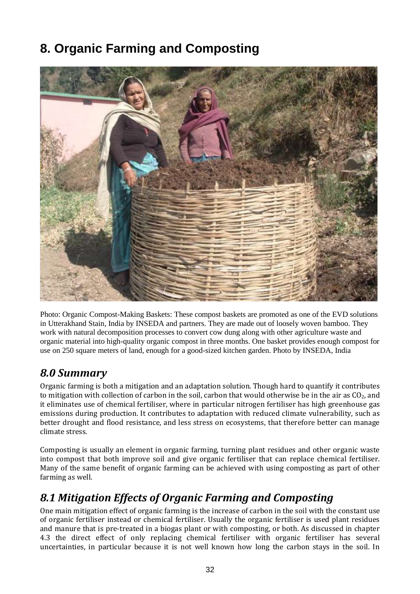# **8. Organic Farming and Composting**



Photo: Organic Compost-Making Baskets: These compost baskets are promoted as one of the EVD solutions in Utterakhand Stain, India by INSEDA and partners. They are made out of loosely woven bamboo. They work with natural decomposition processes to convert cow dung along with other agriculture waste and organic material into high-quality organic compost in three months. One basket provides enough compost for use on 250 square meters of land, enough for a good-sized kitchen garden. Photo by INSEDA, India

### *8.0 Summary*

Organic farming is both a mitigation and an adaptation solution. Though hard to quantify it contributes to mitigation with collection of carbon in the soil, carbon that would otherwise be in the air as  $CO<sub>2</sub>$ , and it eliminates use of chemical fertiliser, where in particular nitrogen fertiliser has high greenhouse gas emissions during production. It contributes to adaptation with reduced climate vulnerability, such as better drought and flood resistance, and less stress on ecosystems, that therefore better can manage climate stress.

Composting is usually an element in organic farming, turning plant residues and other organic waste into compost that both improve soil and give organic fertiliser that can replace chemical fertiliser. Many of the same benefit of organic farming can be achieved with using composting as part of other farming as well.

### *8.1 Mitigation Effects of Organic Farming and Composting*

One main mitigation effect of organic farming is the increase of carbon in the soil with the constant use of organic fertiliser instead or chemical fertiliser. Usually the organic fertiliser is used plant residues and manure that is pre-treated in a biogas plant or with composting, or both. As discussed in chapter 4.3 the direct effect of only replacing chemical fertiliser with organic fertiliser has several uncertainties, in particular because it is not well known how long the carbon stays in the soil. In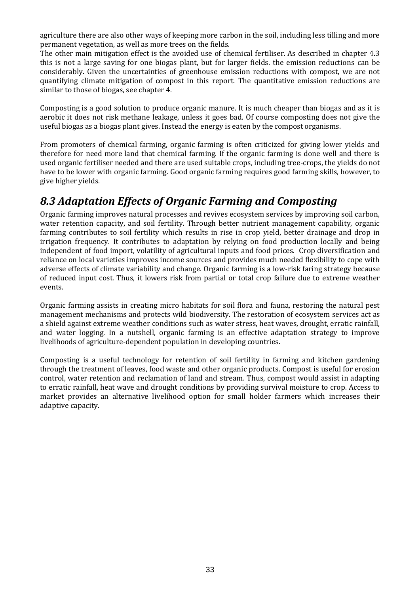agriculture there are also other ways of keeping more carbon in the soil, including less tilling and more permanent vegetation, as well as more trees on the fields.

The other main mitigation effect is the avoided use of chemical fertiliser. As described in chapter 4.3 this is not a large saving for one biogas plant, but for larger fields. the emission reductions can be considerably. Given the uncertainties of greenhouse emission reductions with compost, we are not quantifying climate mitigation of compost in this report. The quantitative emission reductions are similar to those of biogas, see chapter 4.

Composting is a good solution to produce organic manure. It is much cheaper than biogas and as it is aerobic it does not risk methane leakage, unless it goes bad. Of course composting does not give the useful biogas as a biogas plant gives. Instead the energy is eaten by the compost organisms.

From promoters of chemical farming, organic farming is often criticized for giving lower yields and therefore for need more land that chemical farming. If the organic farming is done well and there is used organic fertiliser needed and there are used suitable crops, including tree-crops, the yields do not have to be lower with organic farming. Good organic farming requires good farming skills, however, to give higher yields.

### *8.3 Adaptation Effects of Organic Farming and Composting*

Organic farming improves natural processes and revives ecosystem services by improving soil carbon, water retention capacity, and soil fertility. Through better nutrient management capability, organic farming contributes to soil fertility which results in rise in crop yield, better drainage and drop in irrigation frequency. It contributes to adaptation by relying on food production locally and being independent of food import, volatility of agricultural inputs and food prices. Crop diversification and reliance on local varieties improves income sources and provides much needed flexibility to cope with adverse effects of climate variability and change. Organic farming is a low-risk faring strategy because of reduced input cost. Thus, it lowers risk from partial or total crop failure due to extreme weather events.

Organic farming assists in creating micro habitats for soil flora and fauna, restoring the natural pest management mechanisms and protects wild biodiversity. The restoration of ecosystem services act as a shield against extreme weather conditions such as water stress, heat waves, drought, erratic rainfall, and water logging. In a nutshell, organic farming is an effective adaptation strategy to improve livelihoods of agriculture-dependent population in developing countries.

Composting is a useful technology for retention of soil fertility in farming and kitchen gardening through the treatment of leaves, food waste and other organic products. Compost is useful for erosion control, water retention and reclamation of land and stream. Thus, compost would assist in adapting to erratic rainfall, heat wave and drought conditions by providing survival moisture to crop. Access to market provides an alternative livelihood option for small holder farmers which increases their adaptive capacity.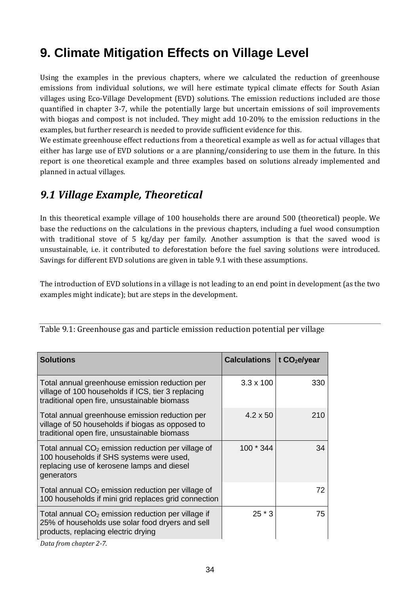# **9. Climate Mitigation Effects on Village Level**

Using the examples in the previous chapters, where we calculated the reduction of greenhouse emissions from individual solutions, we will here estimate typical climate effects for South Asian villages using Eco-Village Development (EVD) solutions. The emission reductions included are those quantified in chapter 3-7, while the potentially large but uncertain emissions of soil improvements with biogas and compost is not included. They might add 10-20% to the emission reductions in the examples, but further research is needed to provide sufficient evidence for this.

We estimate greenhouse effect reductions from a theoretical example as well as for actual villages that either has large use of EVD solutions or a are planning/considering to use them in the future. In this report is one theoretical example and three examples based on solutions already implemented and planned in actual villages.

### *9.1 Village Example, Theoretical*

In this theoretical example village of 100 households there are around 500 (theoretical) people. We base the reductions on the calculations in the previous chapters, including a fuel wood consumption with traditional stove of 5 kg/day per family. Another assumption is that the saved wood is unsustainable, i.e. it contributed to deforestation before the fuel saving solutions were introduced. Savings for different EVD solutions are given in table 9.1 with these assumptions.

The introduction of EVD solutions in a village is not leading to an end point in development (as the two examples might indicate); but are steps in the development.

| $3.3 \times 100$<br>Total annual greenhouse emission reduction per                                                                                                                                                       |  |     |
|--------------------------------------------------------------------------------------------------------------------------------------------------------------------------------------------------------------------------|--|-----|
| village of 100 households if ICS, tier 3 replacing<br>traditional open fire, unsustainable biomass                                                                                                                       |  | 330 |
| $4.2 \times 50$<br>Total annual greenhouse emission reduction per<br>village of 50 households if biogas as opposed to<br>traditional open fire, unsustainable biomass                                                    |  | 210 |
| 100 * 344<br>Total annual $CO2$ emission reduction per village of<br>100 households if SHS systems were used,<br>replacing use of kerosene lamps and diesel<br>generators                                                |  | 34  |
| Total annual $CO2$ emission reduction per village of<br>100 households if mini grid replaces grid connection                                                                                                             |  | 72. |
| $25 * 3$<br>Total annual $CO2$ emission reduction per village if<br>25% of households use solar food dryers and sell<br>products, replacing electric drying<br>$D_{n+1}$ , $C_{n+1}$ , $C_{n+1}$ , $C_{n+1}$ , $C_{n+1}$ |  | 75  |

Table 9.1: Greenhouse gas and particle emission reduction potential per village

*Data from chapter 2-7.*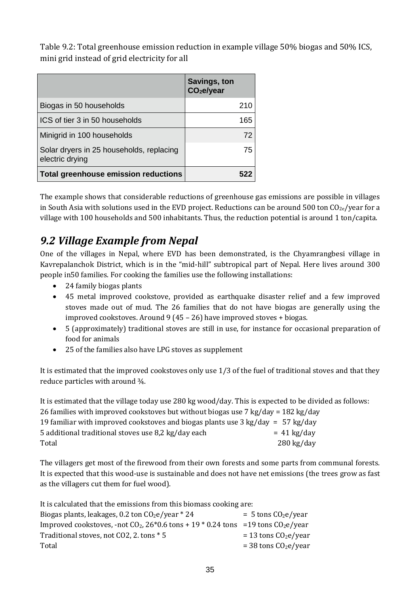Table 9.2: Total greenhouse emission reduction in example village 50% biogas and 50% ICS, mini grid instead of grid electricity for all

|                                                             | Savings, ton<br>CO <sub>2</sub> e/year |
|-------------------------------------------------------------|----------------------------------------|
| Biogas in 50 households                                     | 210                                    |
| ICS of tier 3 in 50 households                              | 165                                    |
| Minigrid in 100 households                                  | 72                                     |
| Solar dryers in 25 households, replacing<br>electric drying | 75                                     |
| <b>Total greenhouse emission reductions</b>                 |                                        |

The example shows that considerable reductions of greenhouse gas emissions are possible in villages in South Asia with solutions used in the EVD project. Reductions can be around 500 ton  $CO_{2e}/year$  for a village with 100 households and 500 inhabitants. Thus, the reduction potential is around 1 ton/capita.

## *9.2 Village Example from Nepal*

One of the villages in Nepal, where EVD has been demonstrated, is the Chyamrangbesi village in Kavrepalanchok District, which is in the "mid-hill" subtropical part of Nepal. Here lives around 300 people in50 families. For cooking the families use the following installations:

- 24 family biogas plants
- 45 metal improved cookstove, provided as earthquake disaster relief and a few improved stoves made out of mud. The 26 families that do not have biogas are generally using the improved cookstoves. Around 9 (45 – 26) have improved stoves + biogas.
- 5 (approximately) traditional stoves are still in use, for instance for occasional preparation of food for animals
- 25 of the families also have LPG stoves as supplement

It is estimated that the improved cookstoves only use 1/3 of the fuel of traditional stoves and that they reduce particles with around ¾.

It is estimated that the village today use 280 kg wood/day. This is expected to be divided as follows: 26 families with improved cookstoves but without biogas use 7 kg/day = 182 kg/day 19 familiar with improved cookstoves and biogas plants use  $3 \text{ kg/day} = 57 \text{ kg/day}$ 5 additional traditional stoves use  $8.2 \text{ kg/day}$  each  $= 41 \text{ kg/day}$ Total 280 kg/day

The villagers get most of the firewood from their own forests and some parts from communal forests. It is expected that this wood-use is sustainable and does not have net emissions (the trees grow as fast as the villagers cut them for fuel wood).

It is calculated that the emissions from this biomass cooking are:

| Biogas plants, leakages, 0.2 ton $CO2e/year * 24$                                          | $=$ 5 tons $CO2e/year$  |
|--------------------------------------------------------------------------------------------|-------------------------|
| Improved cookstoves, -not $CO_2$ , $26*0.6$ tons + 19 $*$ 0.24 tons =19 tons $CO_2$ e/year |                         |
| Traditional stoves, not CO2, 2. tons * 5                                                   | $= 13$ tons $CO2e/year$ |
| Total                                                                                      | $=$ 38 tons $CO2e/year$ |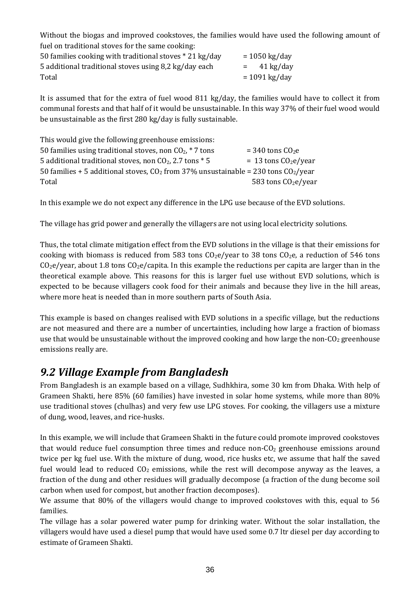Without the biogas and improved cookstoves, the families would have used the following amount of fuel on traditional stoves for the same cooking:

| 50 families cooking with traditional stoves *21 kg/day | $= 1050$ kg/day |
|--------------------------------------------------------|-----------------|
| 5 additional traditional stoves using 8,2 kg/day each  | $=$ 41 kg/day   |
| Total                                                  | $= 1091$ kg/day |

It is assumed that for the extra of fuel wood 811 kg/day, the families would have to collect it from communal forests and that half of it would be unsustainable. In this way 37% of their fuel wood would be unsustainable as the first 280 kg/day is fully sustainable.

| This would give the following greenhouse emissions:                                   |                         |
|---------------------------------------------------------------------------------------|-------------------------|
| 50 families using traditional stoves, non $CO_2$ , $*$ 7 tons                         | $=$ 340 tons $CO2e$     |
| 5 additional traditional stoves, non $CO2$ , 2.7 tons $*$ 5                           | $= 13$ tons $CO2e/year$ |
| 50 families + 5 additional stoves, $CO2$ from 37% unsustainable = 230 tons $CO2/year$ |                         |
| Total                                                                                 | 583 tons $CO2e/year$    |

In this example we do not expect any difference in the LPG use because of the EVD solutions.

The village has grid power and generally the villagers are not using local electricity solutions.

Thus, the total climate mitigation effect from the EVD solutions in the village is that their emissions for cooking with biomass is reduced from 583 tons  $C_2e$ /year to 38 tons  $C_2e$ , a reduction of 546 tons  $C_2e/year$ , about 1.8 tons  $C_2e/capita$ . In this example the reductions per capita are larger than in the theoretical example above. This reasons for this is larger fuel use without EVD solutions, which is expected to be because villagers cook food for their animals and because they live in the hill areas, where more heat is needed than in more southern parts of South Asia.

This example is based on changes realised with EVD solutions in a specific village, but the reductions are not measured and there are a number of uncertainties, including how large a fraction of biomass use that would be unsustainable without the improved cooking and how large the non- $CO<sub>2</sub>$  greenhouse emissions really are.

### *9.2 Village Example from Bangladesh*

From Bangladesh is an example based on a village, Sudhkhira, some 30 km from Dhaka. With help of Grameen Shakti, here 85% (60 families) have invested in solar home systems, while more than 80% use traditional stoves (chulhas) and very few use LPG stoves. For cooking, the villagers use a mixture of dung, wood, leaves, and rice-husks.

In this example, we will include that Grameen Shakti in the future could promote improved cookstoves that would reduce fuel consumption three times and reduce non- $CO<sub>2</sub>$  greenhouse emissions around twice per kg fuel use. With the mixture of dung, wood, rice husks etc, we assume that half the saved fuel would lead to reduced  $CO<sub>2</sub>$  emissions, while the rest will decompose anyway as the leaves, a fraction of the dung and other residues will gradually decompose (a fraction of the dung become soil carbon when used for compost, but another fraction decomposes).

We assume that 80% of the villagers would change to improved cookstoves with this, equal to 56 families.

The village has a solar powered water pump for drinking water. Without the solar installation, the villagers would have used a diesel pump that would have used some 0.7 ltr diesel per day according to estimate of Grameen Shakti.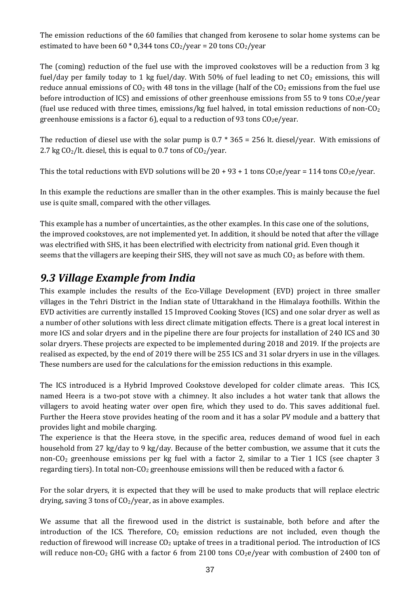The emission reductions of the 60 families that changed from kerosene to solar home systems can be estimated to have been 60  $*$  0,344 tons CO<sub>2</sub>/year = 20 tons CO<sub>2</sub>/year

The (coming) reduction of the fuel use with the improved cookstoves will be a reduction from 3 kg fuel/day per family today to 1 kg fuel/day. With 50% of fuel leading to net  $CO<sub>2</sub>$  emissions, this will reduce annual emissions of  $CO<sub>2</sub>$  with 48 tons in the village (half of the  $CO<sub>2</sub>$  emissions from the fuel use before introduction of ICS) and emissions of other greenhouse emissions from 55 to 9 tons  $CO<sub>2</sub>e/year$ (fuel use reduced with three times, emissions/kg fuel halved, in total emission reductions of non- $\text{CO}_2$ ) greenhouse emissions is a factor 6), equal to a reduction of 93 tons  $CO<sub>2</sub>e/year$ .

The reduction of diesel use with the solar pump is  $0.7 * 365 = 256$  lt. diesel/year. With emissions of 2.7 kg  $CO<sub>2</sub>/lt$ . diesel, this is equal to 0.7 tons of  $CO<sub>2</sub>/year$ .

This the total reductions with EVD solutions will be  $20 + 93 + 1$  tons  $C_2e/year = 114$  tons  $C_2e/year$ .

In this example the reductions are smaller than in the other examples. This is mainly because the fuel use is quite small, compared with the other villages.

This example has a number of uncertainties, as the other examples. In this case one of the solutions, the improved cookstoves, are not implemented yet. In addition, it should be noted that after the village was electrified with SHS, it has been electrified with electricity from national grid. Even though it seems that the villagers are keeping their SHS, they will not save as much  $CO<sub>2</sub>$  as before with them.

### *9.3 Village Example from India*

This example includes the results of the Eco-Village Development (EVD) project in three smaller villages in the Tehri District in the Indian state of Uttarakhand in the Himalaya foothills. Within the EVD activities are currently installed 15 Improved Cooking Stoves (ICS) and one solar dryer as well as a number of other solutions with less direct climate mitigation effects. There is a great local interest in more ICS and solar dryers and in the pipeline there are four projects for installation of 240 ICS and 30 solar dryers. These projects are expected to be implemented during 2018 and 2019. If the projects are realised as expected, by the end of 2019 there will be 255 ICS and 31 solar dryers in use in the villages. These numbers are used for the calculations for the emission reductions in this example.

The ICS introduced is a Hybrid Improved Cookstove developed for colder climate areas. This ICS, named Heera is a two-pot stove with a chimney. It also includes a hot water tank that allows the villagers to avoid heating water over open fire, which they used to do. This saves additional fuel. Further the Heera stove provides heating of the room and it has a solar PV module and a battery that provides light and mobile charging.

The experience is that the Heera stove, in the specific area, reduces demand of wood fuel in each household from 27 kg/day to 9 kg/day. Because of the better combustion, we assume that it cuts the non-CO<sup>2</sup> greenhouse emissions per kg fuel with a factor 2, similar to a Tier 1 ICS (see chapter 3 regarding tiers). In total non- $C_2$  greenhouse emissions will then be reduced with a factor 6.

For the solar dryers, it is expected that they will be used to make products that will replace electric drying, saving 3 tons of  $CO<sub>2</sub>/year$ , as in above examples.

We assume that all the firewood used in the district is sustainable, both before and after the introduction of the ICS. Therefore,  $CO<sub>2</sub>$  emission reductions are not included, even though the reduction of firewood will increase  $CO<sub>2</sub>$  uptake of trees in a traditional period. The introduction of ICS will reduce non-CO<sub>2</sub> GHG with a factor 6 from 2100 tons  $CO<sub>2</sub>e/year$  with combustion of 2400 ton of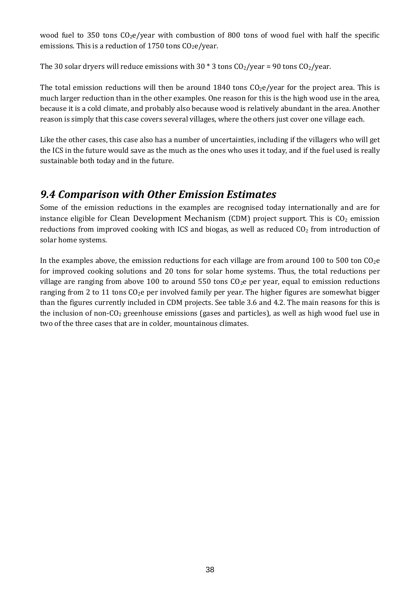wood fuel to 350 tons  $CO<sub>2</sub>e/year$  with combustion of 800 tons of wood fuel with half the specific emissions. This is a reduction of 1750 tons  $CO<sub>2</sub>e/year$ .

The 30 solar dryers will reduce emissions with 30  $*$  3 tons CO<sub>2</sub>/year = 90 tons CO<sub>2</sub>/year.

The total emission reductions will then be around 1840 tons  $CO<sub>2</sub>e/year$  for the project area. This is much larger reduction than in the other examples. One reason for this is the high wood use in the area, because it is a cold climate, and probably also because wood is relatively abundant in the area. Another reason is simply that this case covers several villages, where the others just cover one village each.

Like the other cases, this case also has a number of uncertainties, including if the villagers who will get the ICS in the future would save as the much as the ones who uses it today, and if the fuel used is really sustainable both today and in the future.

### *9.4 Comparison with Other Emission Estimates*

Some of the emission reductions in the examples are recognised today internationally and are for instance eligible for Clean Development Mechanism (CDM) project support. This is  $CO<sub>2</sub>$  emission reductions from improved cooking with ICS and biogas, as well as reduced  $CO<sub>2</sub>$  from introduction of solar home systems.

In the examples above, the emission reductions for each village are from around 100 to 500 ton  $C_2e$ for improved cooking solutions and 20 tons for solar home systems. Thus, the total reductions per village are ranging from above 100 to around 550 tons  $CO<sub>2</sub>e$  per year, equal to emission reductions ranging from 2 to 11 tons  $CO<sub>2</sub>e$  per involved family per year. The higher figures are somewhat bigger than the figures currently included in CDM projects. See table 3.6 and 4.2. The main reasons for this is the inclusion of non-CO<sub>2</sub> greenhouse emissions (gases and particles), as well as high wood fuel use in two of the three cases that are in colder, mountainous climates.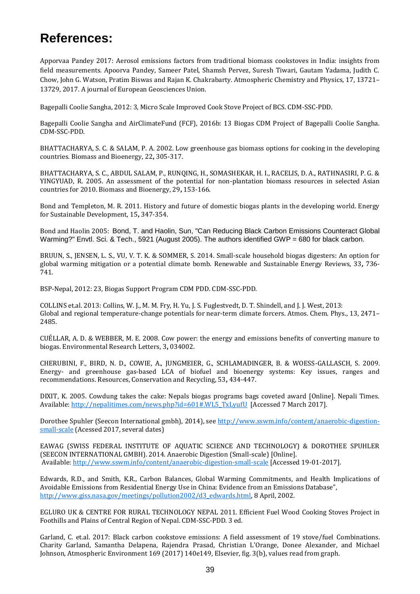# **References:**

Apporvaa Pandey 2017: Aerosol emissions factors from traditional biomass cookstoves in India: insights from field measurements. Apoorva Pandey, Sameer Patel, Shamsh Pervez, Suresh Tiwari, Gautam Yadama, Judith C. Chow, John G. Watson, Pratim Biswas and Rajan K. Chakrabarty. Atmospheric Chemistry and Physics, 17, 13721– 13729, 2017. A journal of European Geosciences Union.

Bagepalli Coolie Sangha, 2012: 3, Micro Scale Improved Cook Stove Project of BCS. CDM-SSC-PDD.

Bagepalli Coolie Sangha and AirClimateFund (FCF), 2016b: 13 Biogas CDM Project of Bagepalli Coolie Sangha. CDM-SSC-PDD.

BHATTACHARYA, S. C. & SALAM, P. A. 2002. Low greenhouse gas biomass options for cooking in the developing countries. Biomass and Bioenergy, 22**,** 305-317.

BHATTACHARYA, S. C., ABDUL SALAM, P., RUNQING, H., SOMASHEKAR, H. I., RACELIS, D. A., RATHNASIRI, P. G. & YINGYUAD, R. 2005. An assessment of the potential for non-plantation biomass resources in selected Asian countries for 2010. Biomass and Bioenergy, 29**,** 153-166.

Bond and Templeton, M. R. 2011. History and future of domestic biogas plants in the developing world. Energy for Sustainable Development, 15**,** 347-354.

Bond and Haolin 2005: Bond, T. and Haolin, Sun, "Can Reducing Black Carbon Emissions Counteract Global Warming?" Envtl. Sci. & Tech., 5921 (August 2005). The authors identified GWP = 680 for black carbon.

BRUUN, S., JENSEN, L. S., VU, V. T. K. & SOMMER, S. 2014. Small-scale household biogas digesters: An option for global warming mitigation or a potential climate bomb. Renewable and Sustainable Energy Reviews, 33**,** 736- 741.

BSP-Nepal, 2012: 23, Biogas Support Program CDM PDD. CDM-SSC-PDD.

COLLINS et.al. 2013: Collins, W. J., M. M. Fry, H. Yu, J. S. Fuglestvedt, D. T. Shindell, and J. J. West, 2013: Global and regional temperature-change potentials for near-term climate forcers. Atmos. Chem. Phys., 13, 2471– 2485.

CUÉLLAR, A. D. & WEBBER, M. E. 2008. Cow power: the energy and emissions benefits of converting manure to biogas. Environmental Research Letters, 3**,** 034002.

CHERUBINI, F., BIRD, N. D., COWIE, A., JUNGMEIER, G., SCHLAMADINGER, B. & WOESS-GALLASCH, S. 2009. Energy- and greenhouse gas-based LCA of biofuel and bioenergy systems: Key issues, ranges and recommendations. Resources, Conservation and Recycling, 53**,** 434-447.

DIXIT, K. 2005. Cowdung takes the cake: Nepals biogas programs bags coveted award [Online]. Nepali Times. Available[: http://nepalitimes.com/news.php?id=601#.WL5\\_TxLyufU](http://nepalitimes.com/news.php?id=601#.WL5_TxLyufU) [Accessed 7 March 2017].

Dorothee Spuhler (Seecon International gmbh), 2014), see [http://www.sswm.info/content/anaerobic-digestion](http://www.sswm.info/content/anaerobic-digestion-small-scale)[small-scale](http://www.sswm.info/content/anaerobic-digestion-small-scale) (Acessed 2017, several dates)

EAWAG (SWISS FEDERAL INSTITUTE OF AQUATIC SCIENCE AND TECHNOLOGY) & DOROTHEE SPUHLER (SEECON INTERNATIONAL GMBH). 2014. Anaerobic Digestion (Small-scale) [Online]. Available[: http://www.sswm.info/content/anaerobic-digestion-small-scale](http://www.sswm.info/content/anaerobic-digestion-small-scale) [Accessed 19-01-2017].

Edwards, R.D., and Smith, K.R., Carbon Balances, Global Warming Commitments, and Health Implications of Avoidable Emissions from Residential Energy Use in China: Evidence from an Emissions Database", [http://www.giss.nasa.gov/meetings/pollution2002/d3\\_edwards.html,](http://www.giss.nasa.gov/meetings/pollution2002/d3_edwards.html) 8 April, 2002.

EGLURO UK & CENTRE FOR RURAL TECHNOLOGY NEPAL 2011. Efficient Fuel Wood Cooking Stoves Project in Foothills and Plains of Central Region of Nepal. CDM-SSC-PDD. 3 ed.

Garland, C. et.al. 2017: Black carbon cookstove emissions: A field assessment of 19 stove/fuel Combinations. Charity Garland, Samantha Delapena, Rajendra Prasad, Christian L'Orange, Donee Alexander, and Michael Johnson, Atmospheric Environment 169 (2017) 140e149, Elsevier, fig. 3(b), values read from graph.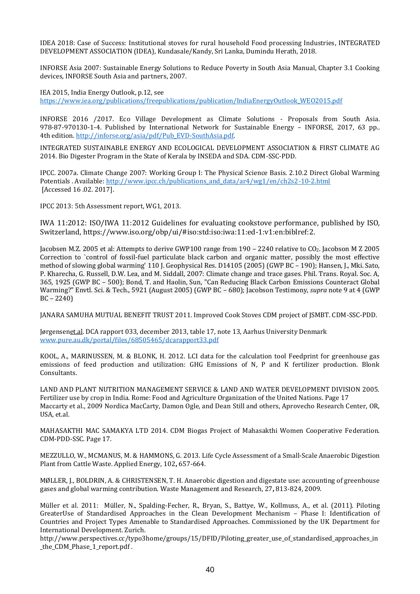IDEA 2018: Case of Success: Institutional stoves for rural household Food processing Industries, INTEGRATED DEVELOPMENT ASSOCIATION (IDEA), Kundasale/Kandy, Sri Lanka, Dumindu Herath, 2018.

INFORSE Asia 2007: Sustainable Energy Solutions to Reduce Poverty in South Asia Manual, Chapter 3.1 Cooking devices, INFORSE South Asia and partners, 2007.

IEA 2015, India Energy Outlook, p.12, see [https://www.iea.org/publications/freepublications/publication/IndiaEnergyOutlook\\_WEO2015.pdf](https://www.iea.org/publications/freepublications/publication/IndiaEnergyOutlook_WEO2015.pdf)

INFORSE 2016 /2017. Eco Village Development as Climate Solutions - Proposals from South Asia. 978-87-970130-1-4. Published by International Network for Sustainable Energy – INFORSE, 2017, 63 pp.. 4th edition. [http://inforse.org/asia/pdf/Pub\\_EVD-SouthAsia.pdf.](http://inforse.org/asia/pdf/Pub_EVD-SouthAsia.pdf)

INTEGRATED SUSTAINABLE ENERGY AND ECOLOGICAL DEVELOPMENT ASSOCIATION & FIRST CLIMATE AG 2014. Bio Digester Program in the State of Kerala by INSEDA and SDA. CDM-SSC-PDD.

IPCC. 2007a. Climate Change 2007: Working Group I: The Physical Science Basis. 2.10.2 Direct Global Warming Potentials . Available[: http://www.ipcc.ch/publications\\_and\\_data/ar4/wg1/en/ch2s2-10-2.html](http://www.ipcc.ch/publications_and_data/ar4/wg1/en/ch2s2-10-2.html) [Accessed 16 .02. 2017].

IPCC 2013: 5th Assessment report, WG1, 2013.

IWA 11:2012: ISO/IWA 11:2012 Guidelines for evaluating cookstove performance, published by ISO, Switzerland, https://www.iso.org/obp/ui/#iso:std:iso:iwa:11:ed-1:v1:en:biblref:2.

Jacobsen M.Z. 2005 et al: Attempts to derive GWP100 range from 190 – 2240 relative to CO2. Jacobson M Z 2005 Correction to `control of fossil-fuel particulate black carbon and organic matter, possibly the most effective method of slowing global warming' 110 J. Geophysical Res. D14105 (2005) (GWP BC – 190); Hansen, J., Mki. Sato, P. Kharecha, G. Russell, D.W. Lea, and M. Siddall, 2007: Climate change and trace gases. Phil. Trans. Royal. Soc. A, 365, 1925 (GWP BC – 500); Bond, T. and Haolin, Sun, "Can Reducing Black Carbon Emissions Counteract Global Warming?" Envtl. Sci. & Tech., 5921 (August 2005) (GWP BC – 680); Jacobson Testimony, *supra* note 9 at 4 (GWP BC – 2240)

JANARA SAMUHA MUTUAL BENEFIT TRUST 2011. Improved Cook Stoves CDM project of JSMBT. CDM-SSC-PDD.

Jørgense[net.al.](http://et.al/) DCA rapport 033, december 2013, table 17, note 13, Aarhus University Denmark [www.pure.au.dk/portal/files/68505465/dcarapport33.pdf](http://www.pure.au.dk/portal/files/68505465/dcarapport33.pdf)

KOOL, A., MARINUSSEN, M. & BLONK, H. 2012. LCI data for the calculation tool Feedprint for greenhouse gas emissions of feed production and utilization: GHG Emissions of N, P and K fertilizer production. Blonk Consultants.

LAND AND PLANT NUTRITION MANAGEMENT SERVICE & LAND AND WATER DEVELOPMENT DIVISION 2005. Fertilizer use by crop in India. Rome: Food and Agriculture Organization of the United Nations. Page 17 Maccarty et al., 2009 Nordica MacCarty, Damon Ogle, and Dean Still and others, Aprovecho Research Center, OR, USA, et.al.

MAHASAKTHI MAC SAMAKYA LTD 2014. CDM Biogas Project of Mahasakthi Women Cooperative Federation. CDM-PDD-SSC. Page 17.

MEZZULLO, W., MCMANUS, M. & HAMMONS, G. 2013. Life Cycle Assessment of a Small-Scale Anaerobic Digestion Plant from Cattle Waste. Applied Energy, 102**,** 657-664.

MØLLER, J., BOLDRIN, A. & CHRISTENSEN, T. H. Anaerobic digestion and digestate use: accounting of greenhouse gases and global warming contribution. Waste Management and Research, 27**,** 813-824, 2009.

Müller et al. 2011: Müller, N., Spalding-Fecher, R., Bryan, S., Battye, W., Kollmuss, A., et al. (2011). Piloting GreaterUse of Standardised Approaches in the Clean Development Mechanism – Phase I: Identification of Countries and Project Types Amenable to Standardised Approaches. Commissioned by the UK Department for International Development. Zurich.

[http://www.perspectives.cc/typo3home/groups/15/DFID/Piloting\\_greater\\_use\\_of\\_standardised\\_approaches\\_in](http://www.perspectives.cc/typo3home/groups/15/DFID/Piloting_greater_use_of_standardised_approaches_in_the_CDM_Phase_1_report.pdf) [\\_the\\_CDM\\_Phase\\_1\\_report.pdf](http://www.perspectives.cc/typo3home/groups/15/DFID/Piloting_greater_use_of_standardised_approaches_in_the_CDM_Phase_1_report.pdf) .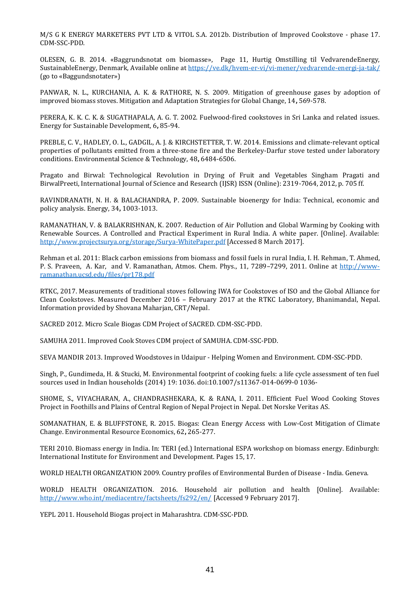M/S G K ENERGY MARKETERS PVT LTD & VITOL S.A. 2012b. Distribution of Improved Cookstove - phase 17. CDM-SSC-PDD.

OLESEN, G. B. 2014. «Baggrundsnotat om biomasse», Page 11, Hurtig Omstilling til VedvarendeEnergy, SustainableEnergy, Denmark, Available online at<https://ve.dk/hvem-er-vi/vi-mener/vedvarende-energi-ja-tak/> (go to «Baggundsnotater»)

PANWAR, N. L., KURCHANIA, A. K. & RATHORE, N. S. 2009. Mitigation of greenhouse gases by adoption of improved biomass stoves. Mitigation and Adaptation Strategies for Global Change, 14**,** 569-578.

PERERA, K. K. C. K. & SUGATHAPALA, A. G. T. 2002. Fuelwood-fired cookstoves in Sri Lanka and related issues. Energy for Sustainable Development, 6**,** 85-94.

PREBLE, C. V., HADLEY, O. L., GADGIL, A. J. & KIRCHSTETTER, T. W. 2014. Emissions and climate-relevant optical properties of pollutants emitted from a three-stone fire and the Berkeley-Darfur stove tested under laboratory conditions. Environmental Science & Technology, 48**,** 6484-6506.

Pragato and Birwal: Technological Revolution in Drying of Fruit and Vegetables Singham Pragati and BirwalPreeti, International Journal of Science and Research (IJSR) ISSN (Online): 2319-7064, 2012, p. 705 ff.

RAVINDRANATH, N. H. & BALACHANDRA, P. 2009. Sustainable bioenergy for India: Technical, economic and policy analysis. Energy, 34**,** 1003-1013.

RAMANATHAN, V. & BALAKRISHNAN, K. 2007. Reduction of Air Pollution and Global Warming by Cooking with Renewable Sources. A Controlled and Practical Experiment in Rural India. A white paper. [Online]. Available: <http://www.projectsurya.org/storage/Surya-WhitePaper.pdf> [Accessed 8 March 2017].

Rehman et al. 2011: Black carbon emissions from biomass and fossil fuels in rural India, I. H. Rehman, T. Ahmed, P. S. Praveen, A. Kar, and V. Ramanathan, Atmos. Chem. Phys., 11, 7289–7299, 2011. Online at [http://www](http://www-ramanathan.ucsd.edu/files/pr178.pdf)[ramanathan.ucsd.edu/files/pr178.pdf](http://www-ramanathan.ucsd.edu/files/pr178.pdf)

RTKC, 2017. Measurements of traditional stoves following IWA for Cookstoves of ISO and the Global Alliance for Clean Cookstoves. Measured December 2016 – February 2017 at the RTKC Laboratory, Bhanimandal, Nepal. Information provided by Shovana Maharjan, CRT/Nepal.

SACRED 2012. Micro Scale Biogas CDM Project of SACRED. CDM-SSC-PDD.

SAMUHA 2011. Improved Cook Stoves CDM project of SAMUHA. CDM-SSC-PDD.

SEVA MANDIR 2013. Improved Woodstoves in Udaipur - Helping Women and Environment. CDM-SSC-PDD.

Singh, P., Gundimeda, H. & Stucki, M. Environmental footprint of cooking fuels: a life cycle assessment of ten fuel sources used in Indian households (2014) 19: 1036. doi:10.1007/s11367-014-0699-0 1036-

SHOME, S., VIYACHARAN, A., CHANDRASHEKARA, K. & RANA, I. 2011. Efficient Fuel Wood Cooking Stoves Project in Foothills and Plains of Central Region of Nepal Project in Nepal. Det Norske Veritas AS.

SOMANATHAN, E. & BLUFFSTONE, R. 2015. Biogas: Clean Energy Access with Low-Cost Mitigation of Climate Change. Environmental Resource Economics, 62**,** 265-277.

TERI 2010. Biomass energy in India. In: TERI (ed.) International ESPA workshop on biomass energy. Edinburgh: International Institute for Environment and Development. Pages 15, 17.

WORLD HEALTH ORGANIZATION 2009. Country profiles of Environmental Burden of Disease - India. Geneva.

WORLD HEALTH ORGANIZATION. 2016. Household air pollution and health [Online]. Available: <http://www.who.int/mediacentre/factsheets/fs292/en/> [Accessed 9 February 2017].

YEPL 2011. Household Biogas project in Maharashtra. CDM-SSC-PDD.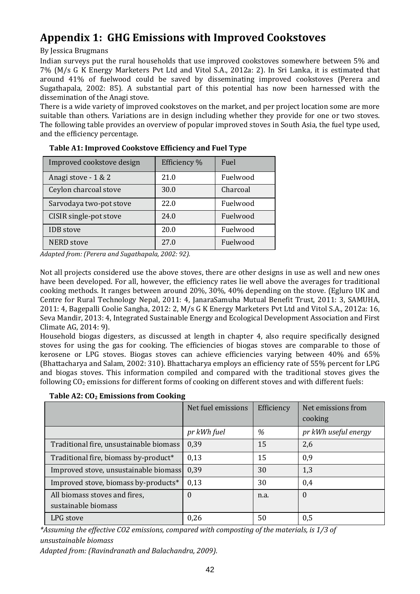### **Appendix 1: GHG Emissions with Improved Cookstoves**

By Jessica Brugmans

Indian surveys put the rural households that use improved cookstoves somewhere between 5% and 7% (M/s G K Energy Marketers Pvt Ltd and Vitol S.A., 2012a: 2). In Sri Lanka, it is estimated that around 41% of fuelwood could be saved by disseminating improved cookstoves (Perera and Sugathapala, 2002: 85). A substantial part of this potential has now been harnessed with the dissemination of the Anagi stove.

There is a wide variety of improved cookstoves on the market, and per project location some are more suitable than others. Variations are in design including whether they provide for one or two stoves. The following table provides an overview of popular improved stoves in South Asia, the fuel type used, and the efficiency percentage.

| Improved cookstove design | Efficiency % | Fuel     |
|---------------------------|--------------|----------|
| Anagi stove - 1 & 2       | 21.0         | Fuelwood |
| Ceylon charcoal stove     | 30.0         | Charcoal |
| Sarvodaya two-pot stove   | 22.0         | Fuelwood |
| CISIR single-pot stove    | 24.0         | Fuelwood |
| <b>IDB</b> stove          | 20.0         | Fuelwood |
| <b>NERD</b> stove         | 27.0         | Fuelwood |

| Table A1: Improved Cookstove Efficiency and Fuel Type |
|-------------------------------------------------------|
|-------------------------------------------------------|

*Adapted from: (Perera and Sugathapala, 2002: 92).*

Not all projects considered use the above stoves, there are other designs in use as well and new ones have been developed. For all, however, the efficiency rates lie well above the averages for traditional cooking methods. It ranges between around 20%, 30%, 40% depending on the stove. (Egluro UK and Centre for Rural Technology Nepal, 2011: 4, JanaraSamuha Mutual Benefit Trust, 2011: 3, SAMUHA, 2011: 4, Bagepalli Coolie Sangha, 2012: 2, M/s G K Energy Marketers Pvt Ltd and Vitol S.A., 2012a: 16, Seva Mandir, 2013: 4, Integrated Sustainable Energy and Ecological Development Association and First Climate AG, 2014: 9).

Household biogas digesters, as discussed at length in chapter 4, also require specifically designed stoves for using the gas for cooking. The efficiencies of biogas stoves are comparable to those of kerosene or LPG stoves. Biogas stoves can achieve efficiencies varying between 40% and 65% (Bhattacharya and Salam, 2002: 310). Bhattacharya employs an efficiency rate of 55% percent for LPG and biogas stoves. This information compiled and compared with the traditional stoves gives the following  $CO<sub>2</sub>$  emissions for different forms of cooking on different stoves and with different fuels:

| Table A2: CO <sub>2</sub> Emissions from Cooking |  |  |  |
|--------------------------------------------------|--|--|--|
|--------------------------------------------------|--|--|--|

|                                                      | Net fuel emissions | Efficiency | Net emissions from<br>cooking |
|------------------------------------------------------|--------------------|------------|-------------------------------|
|                                                      | pr kWh fuel        | %          | pr kWh useful energy          |
| Traditional fire, unsustainable biomass              | 0,39               | 15         | 2,6                           |
| Traditional fire, biomass by-product*                | 0,13               | 15         | 0,9                           |
| Improved stove, unsustainable biomass                | 0,39               | 30         | 1,3                           |
| Improved stove, biomass by-products*                 | 0,13               | 30         | 0,4                           |
| All biomass stoves and fires,<br>sustainable biomass | 0                  | n.a.       | $\Omega$                      |
| LPG stove                                            | 0,26               | 50         | 0,5                           |

*\*Assuming the effective CO2 emissions, compared with composting of the materials, is 1/3 of unsustainable biomass*

*Adapted from: (Ravindranath and Balachandra, 2009).*